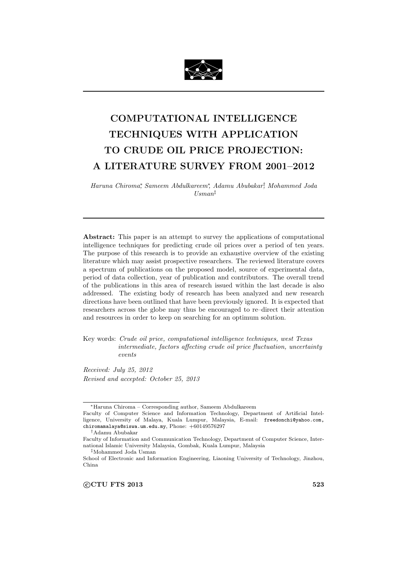

# **COMPUTATIONAL INTELLIGENCE TECHNIQUES WITH APPLICATION TO CRUDE OIL PRICE PROJECTION: A LITERATURE SURVEY FROM 2001–2012**

*Haruna Chiroma<sup>∗</sup> , Sameem Abdulkareem<sup>∗</sup> , Adamu Abubakar† , Mohammed Joda Usman‡*

**Abstract:** This paper is an attempt to survey the applications of computational intelligence techniques for predicting crude oil prices over a period of ten years. The purpose of this research is to provide an exhaustive overview of the existing literature which may assist prospective researchers. The reviewed literature covers a spectrum of publications on the proposed model, source of experimental data, period of data collection, year of publication and contributors. The overall trend of the publications in this area of research issued within the last decade is also addressed. The existing body of research has been analyzed and new research directions have been outlined that have been previously ignored. It is expected that researchers across the globe may thus be encouraged to re–direct their attention and resources in order to keep on searching for an optimum solution.

Key words: *Crude oil price, computational intelligence techniques, west Texas intermediate, factors affecting crude oil price fluctuation, uncertainty events*

*Received: July 25, 2012 Revised and accepted: October 25, 2013*

*<sup>∗</sup>*Haruna Chiroma – Corresponding author, Sameem Abdulkareem

Faculty of Computer Science and Information Technology, Department of Artificial Intelligence, University of Malaya, Kuala Lumpur, Malaysia, E-mail: freedonchi@yahoo.com, chiromamalaya@siswa.um.edu.my, Phone: +60149576297

*<sup>†</sup>*Adamu Abubakar

Faculty of Information and Communication Technology, Department of Computer Science, International Islamic University Malaysia, Gombak, Kuala Lumpur, Malaysia

*<sup>‡</sup>*Mohammed Joda Usman

School of Electronic and Information Engineering, Liaoning University of Technology, Jinzhou, China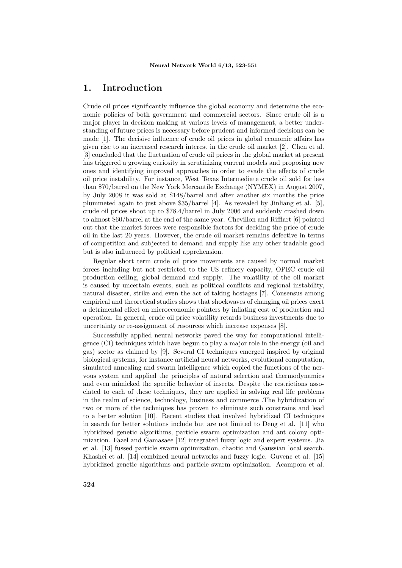## **1. Introduction**

Crude oil prices significantly influence the global economy and determine the economic policies of both government and commercial sectors. Since crude oil is a major player in decision making at various levels of management, a better understanding of future prices is necessary before prudent and informed decisions can be made [1]. The decisive influence of crude oil prices in global economic affairs has given rise to an increased research interest in the crude oil market [2]. Chen et al. [3] concluded that the fluctuation of crude oil prices in the global market at present has triggered a growing curiosity in scrutinizing current models and proposing new ones and identifying improved approaches in order to evade the effects of crude oil price instability. For instance, West Texas Intermediate crude oil sold for less than \$70/barrel on the New York Mercantile Exchange (NYMEX) in August 2007, by July 2008 it was sold at \$148/barrel and after another six months the price plummeted again to just above \$35/barrel [4]. As revealed by Jinliang et al. [5], crude oil prices shoot up to \$78.4/barrel in July 2006 and suddenly crashed down to almost \$60/barrel at the end of the same year. Chevillon and Rifflart [6] pointed out that the market forces were responsible factors for deciding the price of crude oil in the last 20 years. However, the crude oil market remains defective in terms of competition and subjected to demand and supply like any other tradable good but is also influenced by political apprehension.

Regular short term crude oil price movements are caused by normal market forces including but not restricted to the US refinery capacity, OPEC crude oil production ceiling, global demand and supply. The volatility of the oil market is caused by uncertain events, such as political conflicts and regional instability, natural disaster, strike and even the act of taking hostages [7]. Consensus among empirical and theoretical studies shows that shockwaves of changing oil prices exert a detrimental effect on microeconomic pointers by inflating cost of production and operation. In general, crude oil price volatility retards business investments due to uncertainty or re-assignment of resources which increase expenses [8].

Successfully applied neural networks paved the way for computational intelligence (CI) techniques which have begun to play a major role in the energy (oil and gas) sector as claimed by [9]. Several CI techniques emerged inspired by original biological systems, for instance artificial neural networks, evolutional computation, simulated annealing and swarm intelligence which copied the functions of the nervous system and applied the principles of natural selection and thermodynamics and even mimicked the specific behavior of insects. Despite the restrictions associated to each of these techniques, they are applied in solving real life problems in the realm of science, technology, business and commerce .The hybridization of two or more of the techniques has proven to eliminate such constrains and lead to a better solution [10]. Recent studies that involved hybridized CI techniques in search for better solutions include but are not limited to Deng et al. [11] who hybridized genetic algorithms, particle swarm optimization and ant colony optimization. Fazel and Gamasaee [12] integrated fuzzy logic and expert systems. Jia et al. [13] fussed particle swarm optimization, chaotic and Gaussian local search. Khashei et al. [14] combined neural networks and fuzzy logic. Guvenc et al. [15] hybridized genetic algorithms and particle swarm optimization. Acampora et al.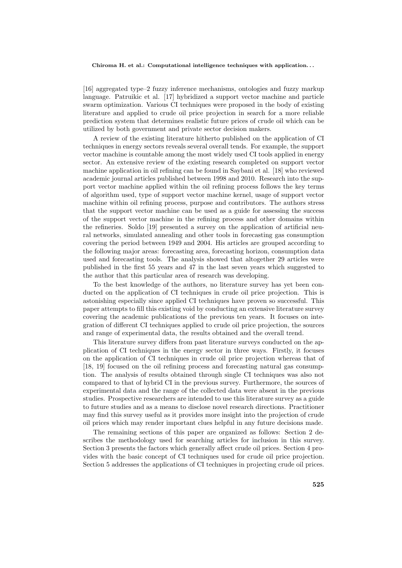[16] aggregated type–2 fuzzy inference mechanisms, ontologies and fuzzy markup language. Patruikic et al. [17] hybridized a support vector machine and particle swarm optimization. Various CI techniques were proposed in the body of existing literature and applied to crude oil price projection in search for a more reliable prediction system that determines realistic future prices of crude oil which can be utilized by both government and private sector decision makers.

A review of the existing literature hitherto published on the application of CI techniques in energy sectors reveals several overall tends. For example, the support vector machine is countable among the most widely used CI tools applied in energy sector. An extensive review of the existing research completed on support vector machine application in oil refining can be found in Saybani et al. [18] who reviewed academic journal articles published between 1998 and 2010. Research into the support vector machine applied within the oil refining process follows the key terms of algorithm used, type of support vector machine kernel, usage of support vector machine within oil refining process, purpose and contributors. The authors stress that the support vector machine can be used as a guide for assessing the success of the support vector machine in the refining process and other domains within the refineries. Soldo [19] presented a survey on the application of artificial neural networks, simulated annealing and other tools in forecasting gas consumption covering the period between 1949 and 2004. His articles are grouped according to the following major areas: forecasting area, forecasting horizon, consumption data used and forecasting tools. The analysis showed that altogether 29 articles were published in the first 55 years and 47 in the last seven years which suggested to the author that this particular area of research was developing.

To the best knowledge of the authors, no literature survey has yet been conducted on the application of CI techniques in crude oil price projection. This is astonishing especially since applied CI techniques have proven so successful. This paper attempts to fill this existing void by conducting an extensive literature survey covering the academic publications of the previous ten years. It focuses on integration of different CI techniques applied to crude oil price projection, the sources and range of experimental data, the results obtained and the overall trend.

This literature survey differs from past literature surveys conducted on the application of CI techniques in the energy sector in three ways. Firstly, it focuses on the application of CI techniques in crude oil price projection whereas that of [18, 19] focused on the oil refining process and forecasting natural gas consumption. The analysis of results obtained through single CI techniques was also not compared to that of hybrid CI in the previous survey. Furthermore, the sources of experimental data and the range of the collected data were absent in the previous studies. Prospective researchers are intended to use this literature survey as a guide to future studies and as a means to disclose novel research directions. Practitioner may find this survey useful as it provides more insight into the projection of crude oil prices which may render important clues helpful in any future decisions made.

The remaining sections of this paper are organized as follows: Section 2 describes the methodology used for searching articles for inclusion in this survey. Section 3 presents the factors which generally affect crude oil prices. Section 4 provides with the basic concept of CI techniques used for crude oil price projection. Section 5 addresses the applications of CI techniques in projecting crude oil prices.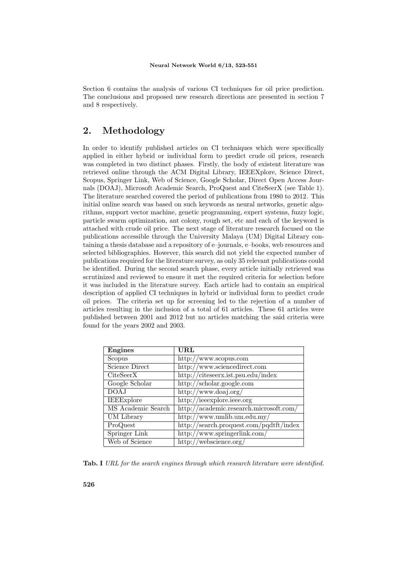Section 6 contains the analysis of various CI techniques for oil price prediction. The conclusions and proposed new research directions are presented in section 7 and 8 respectively.

## **2. Methodology**

In order to identify published articles on CI techniques which were specifically applied in either hybrid or individual form to predict crude oil prices, research was completed in two distinct phases. Firstly, the body of existent literature was retrieved online through the ACM Digital Library, IEEEXplore, Science Direct, Scopus, Springer Link, Web of Science, Google Scholar, Direct Open Access Journals (DOAJ), Microsoft Academic Search, ProQuest and CiteSeerX (see Table 1). The literature searched covered the period of publications from 1980 to 2012. This initial online search was based on such keywords as neural networks, genetic algorithms, support vector machine, genetic programming, expert systems, fuzzy logic, particle swarm optimization, ant colony, rough set, etc and each of the keyword is attached with crude oil price. The next stage of literature research focused on the publications accessible through the University Malaya (UM) Digital Library containing a thesis database and a repository of e–journals, e–books, web resources and selected bibliographies. However, this search did not yield the expected number of publications required for the literature survey, as only 35 relevant publications could be identified. During the second search phase, every article initially retrieved was scrutinized and reviewed to ensure it met the required criteria for selection before it was included in the literature survey. Each article had to contain an empirical description of applied CI techniques in hybrid or individual form to predict crude oil prices. The criteria set up for screening led to the rejection of a number of articles resulting in the inclusion of a total of 61 articles. These 61 articles were published between 2001 and 2012 but no articles matching the said criteria were found for the years 2002 and 2003.

| <b>Engines</b>     | URL                                     |
|--------------------|-----------------------------------------|
| Scopus             | http://www.scopus.com                   |
| Science Direct     | http://www.sciencedirect.com            |
| CiteSeerX          | http://citeseerx.ist.psu.edu/index      |
| Google Scholar     | http://scholar.google.com               |
| <b>DOAJ</b>        | http://www.doaj.org/                    |
| <b>IEEExplore</b>  | http://ieeexplore.ieee.org              |
| MS Academic Search | http://academic.research.microsoft.com/ |
| UM Library         | $\frac{http://www.umlib.um.edu.my/}{$   |
| ProQuest           | http://search.proquest.com/pqdtft/index |
| Springer Link      | http://www.springerlink.com/            |
| Web of Science     | http://webscience.org/                  |

**Tab. I** *URL for the search engines through which research literature were identified.*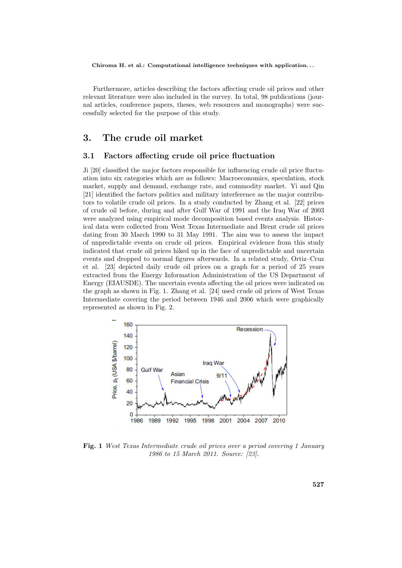Furthermore, articles describing the factors affecting crude oil prices and other relevant literature were also included in the survey. In total, 98 publications (journal articles, conference papers, theses, web resources and monographs) were successfully selected for the purpose of this study.

## **3. The crude oil market**

### **3.1 Factors affecting crude oil price fluctuation**

Ji [20] classified the major factors responsible for influencing crude oil price fluctuation into six categories which are as follows: Macroeconomics, speculation, stock market, supply and demand, exchange rate, and commodity market. Yi and Qin [21] identified the factors politics and military interference as the major contributors to volatile crude oil prices. In a study conducted by Zhang et al. [22] prices of crude oil before, during and after Gulf War of 1991 and the Iraq War of 2003 were analyzed using empirical mode decomposition based events analysis. Historical data were collected from West Texas Intermediate and Brent crude oil prices dating from 30 March 1990 to 31 May 1991. The aim was to assess the impact of unpredictable events on crude oil prices. Empirical evidence from this study indicated that crude oil prices hiked up in the face of unpredictable and uncertain events and dropped to normal figures afterwards. In a related study, Ortiz–Cruz et al. [23] depicted daily crude oil prices on a graph for a period of 25 years extracted from the Energy Information Administration of the US Department of Energy (EIAUSDE). The uncertain events affecting the oil prices were indicated on the graph as shown in Fig. 1. Zhang et al. [24] used crude oil prices of West Texas Intermediate covering the period between 1946 and 2006 which were graphically represented as shown in Fig. 2.



**Fig. 1** *West Texas Intermediate crude oil prices over a period covering 1 January 1986 to 15 March 2011. Source: [23].*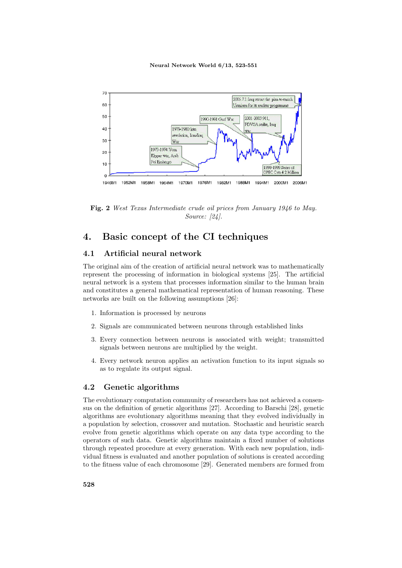

**Fig. 2** *West Texas Intermediate crude oil prices from January 1946 to May. Source: [24].*

## **4. Basic concept of the CI techniques**

### **4.1 Artificial neural network**

The original aim of the creation of artificial neural network was to mathematically represent the processing of information in biological systems [25]. The artificial neural network is a system that processes information similar to the human brain and constitutes a general mathematical representation of human reasoning. These networks are built on the following assumptions [26]:

- 1. Information is processed by neurons
- 2. Signals are communicated between neurons through established links
- 3. Every connection between neurons is associated with weight; transmitted signals between neurons are multiplied by the weight.
- 4. Every network neuron applies an activation function to its input signals so as to regulate its output signal.

### **4.2 Genetic algorithms**

The evolutionary computation community of researchers has not achieved a consensus on the definition of genetic algorithms [27]. According to Barschi [28], genetic algorithms are evolutionary algorithms meaning that they evolved individually in a population by selection, crossover and mutation. Stochastic and heuristic search evolve from genetic algorithms which operate on any data type according to the operators of such data. Genetic algorithms maintain a fixed number of solutions through repeated procedure at every generation. With each new population, individual fitness is evaluated and another population of solutions is created according to the fitness value of each chromosome [29]. Generated members are formed from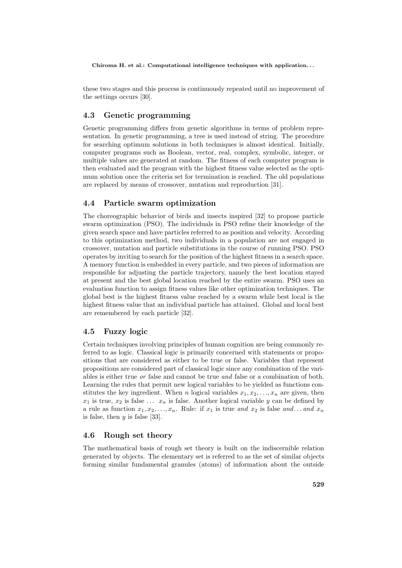these two stages and this process is continuously repeated until no improvement of the settings occurs [30].

## **4.3 Genetic programming**

Genetic programming differs from genetic algorithms in terms of problem representation. In genetic programming, a tree is used instead of string. The procedure for searching optimum solutions in both techniques is almost identical. Initially, computer programs such as Boolean, vector, real, complex, symbolic, integer, or multiple values are generated at random. The fitness of each computer program is then evaluated and the program with the highest fitness value selected as the optimum solution once the criteria set for termination is reached. The old populations are replaced by means of crossover, mutation and reproduction [31].

### **4.4 Particle swarm optimization**

The choreographic behavior of birds and insects inspired [32] to propose particle swarm optimization (PSO). The individuals in PSO refine their knowledge of the given search space and have particles referred to as position and velocity. According to this optimization method, two individuals in a population are not engaged in crossover, mutation and particle substitutions in the course of running PSO. PSO operates by inviting to search for the position of the highest fitness in a search space. A memory function is embedded in every particle, and two pieces of information are responsible for adjusting the particle trajectory, namely the best location stayed at present and the best global location reached by the entire swarm. PSO uses an evaluation function to assign fitness values like other optimization techniques. The global best is the highest fitness value reached by a swarm while best local is the highest fitness value that an individual particle has attained. Global and local best are remembered by each particle [32].

### **4.5 Fuzzy logic**

Certain techniques involving principles of human cognition are being commonly referred to as logic. Classical logic is primarily concerned with statements or propositions that are considered as either to be true or false. Variables that represent propositions are considered part of classical logic since any combination of the variables is either true *or* false and cannot be true *and* false or a combination of both. Learning the rules that permit new logical variables to be yielded as functions constitutes the key ingredient. When *n* logical variables  $x_1, x_2, \ldots, x_n$  are given, then  $x_1$  is true,  $x_2$  is false ...  $x_n$  is false. Another logical variable *y* can be defined by a rule as function  $x_1, x_2, \ldots, x_n$ . Rule: if  $x_1$  is true *and*  $x_2$  is false *and*... *and*  $x_n$ is false, then *y* is false [33].

### **4.6 Rough set theory**

The mathematical basis of rough set theory is built on the indiscernible relation generated by objects. The elementary set is referred to as the set of similar objects forming similar fundamental granules (atoms) of information about the outside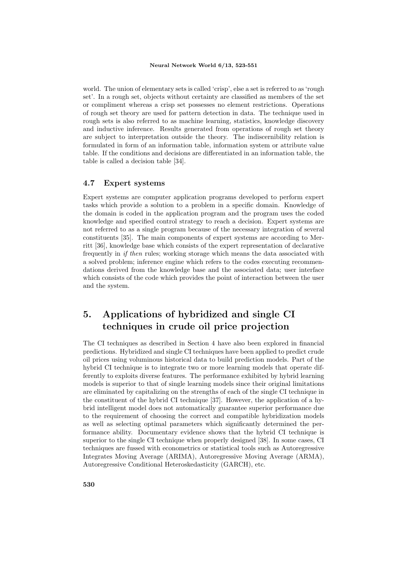world. The union of elementary sets is called 'crisp', else a set is referred to as 'rough set'. In a rough set, objects without certainty are classified as members of the set or compliment whereas a crisp set possesses no element restrictions. Operations of rough set theory are used for pattern detection in data. The technique used in rough sets is also referred to as machine learning, statistics, knowledge discovery and inductive inference. Results generated from operations of rough set theory are subject to interpretation outside the theory. The indiscernibility relation is formulated in form of an information table, information system or attribute value table. If the conditions and decisions are differentiated in an information table, the table is called a decision table [34].

### **4.7 Expert systems**

Expert systems are computer application programs developed to perform expert tasks which provide a solution to a problem in a specific domain. Knowledge of the domain is coded in the application program and the program uses the coded knowledge and specified control strategy to reach a decision. Expert systems are not referred to as a single program because of the necessary integration of several constituents [35]. The main components of expert systems are according to Merritt [36], knowledge base which consists of the expert representation of declarative frequently in *if then* rules; working storage which means the data associated with a solved problem; inference engine which refers to the codes executing recommendations derived from the knowledge base and the associated data; user interface which consists of the code which provides the point of interaction between the user and the system.

## **5. Applications of hybridized and single CI techniques in crude oil price projection**

The CI techniques as described in Section 4 have also been explored in financial predictions. Hybridized and single CI techniques have been applied to predict crude oil prices using voluminous historical data to build prediction models. Part of the hybrid CI technique is to integrate two or more learning models that operate differently to exploits diverse features. The performance exhibited by hybrid learning models is superior to that of single learning models since their original limitations are eliminated by capitalizing on the strengths of each of the single CI technique in the constituent of the hybrid CI technique [37]. However, the application of a hybrid intelligent model does not automatically guarantee superior performance due to the requirement of choosing the correct and compatible hybridization models as well as selecting optimal parameters which significantly determined the performance ability. Documentary evidence shows that the hybrid CI technique is superior to the single CI technique when properly designed [38]. In some cases, CI techniques are fussed with econometrics or statistical tools such as Autoregressive Integrates Moving Average (ARIMA), Autoregressive Moving Average (ARMA), Autoregressive Conditional Heteroskedasticity (GARCH), etc.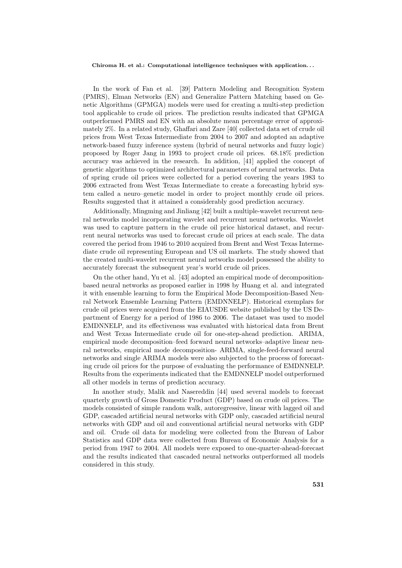In the work of Fan et al. [39] Pattern Modeling and Recognition System (PMRS), Elman Networks (EN) and Generalize Pattern Matching based on Genetic Algorithms (GPMGA) models were used for creating a multi-step prediction tool applicable to crude oil prices. The prediction results indicated that GPMGA outperformed PMRS and EN with an absolute mean percentage error of approximately 2%. In a related study, Ghaffari and Zare [40] collected data set of crude oil prices from West Texas Intermediate from 2004 to 2007 and adopted an adaptive network-based fuzzy inference system (hybrid of neural networks and fuzzy logic) proposed by Roger Jang in 1993 to project crude oil prices. 68.18% prediction accuracy was achieved in the research. In addition, [41] applied the concept of genetic algorithms to optimized architectural parameters of neural networks. Data of spring crude oil prices were collected for a period covering the years 1983 to 2006 extracted from West Texas Intermediate to create a forecasting hybrid system called a neuro–genetic model in order to project monthly crude oil prices. Results suggested that it attained a considerably good prediction accuracy.

Additionally, Mingming and Jinliang [42] built a multiple-wavelet recurrent neural networks model incorporating wavelet and recurrent neural networks. Wavelet was used to capture pattern in the crude oil price historical dataset, and recurrent neural networks was used to forecast crude oil prices at each scale. The data covered the period from 1946 to 2010 acquired from Brent and West Texas Intermediate crude oil representing European and US oil markets. The study showed that the created multi-wavelet recurrent neural networks model possessed the ability to accurately forecast the subsequent year's world crude oil prices.

On the other hand, Yu et al. [43] adopted an empirical mode of decompositionbased neural networks as proposed earlier in 1998 by Huang et al. and integrated it with ensemble learning to form the Empirical Mode Decomposition-Based Neural Network Ensemble Learning Pattern (EMDNNELP). Historical exemplars for crude oil prices were acquired from the EIAUSDE website published by the US Department of Energy for a period of 1986 to 2006. The dataset was used to model EMDNNELP, and its effectiveness was evaluated with historical data from Brent and West Texas Intermediate crude oil for one-step-ahead prediction. ARIMA, empirical mode decomposition–feed forward neural networks–adaptive linear neural networks, empirical mode decomposition- ARIMA, single-feed-forward neural networks and single ARIMA models were also subjected to the process of forecasting crude oil prices for the purpose of evaluating the performance of EMDNNELP. Results from the experiments indicated that the EMDNNELP model outperformed all other models in terms of prediction accuracy.

In another study, Malik and Nasereddin [44] used several models to forecast quarterly growth of Gross Domestic Product (GDP) based on crude oil prices. The models consisted of simple random walk, autoregressive, linear with lagged oil and GDP, cascaded artificial neural networks with GDP only, cascaded artificial neural networks with GDP and oil and conventional artificial neural networks with GDP and oil. Crude oil data for modeling were collected from the Bureau of Labor Statistics and GDP data were collected from Bureau of Economic Analysis for a period from 1947 to 2004. All models were exposed to one-quarter-ahead-forecast and the results indicated that cascaded neural networks outperformed all models considered in this study.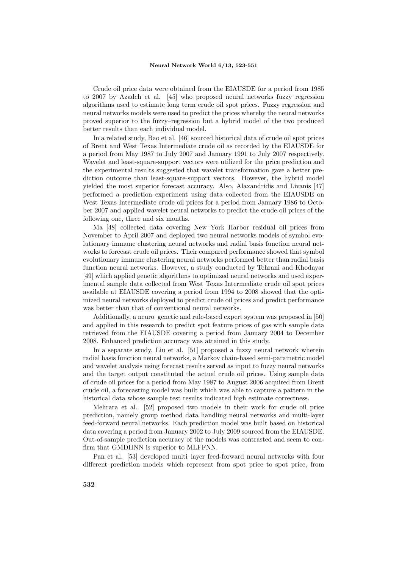Crude oil price data were obtained from the EIAUSDE for a period from 1985 to 2007 by Azadeh et al. [45] who proposed neural networks–fuzzy regression algorithms used to estimate long term crude oil spot prices. Fuzzy regression and neural networks models were used to predict the prices whereby the neural networks proved superior to the fuzzy–regression but a hybrid model of the two produced better results than each individual model.

In a related study, Bao et al. [46] sourced historical data of crude oil spot prices of Brent and West Texas Intermediate crude oil as recorded by the EIAUSDE for a period from May 1987 to July 2007 and January 1991 to July 2007 respectively. Wavelet and least-square-support vectors were utilized for the price prediction and the experimental results suggested that wavelet transformation gave a better prediction outcome than least-square-support vectors. However, the hybrid model yielded the most superior forecast accuracy. Also, Alaxandridis and Livanis [47] performed a prediction experiment using data collected from the EIAUSDE on West Texas Intermediate crude oil prices for a period from January 1986 to October 2007 and applied wavelet neural networks to predict the crude oil prices of the following one, three and six months.

Ma [48] collected data covering New York Harbor residual oil prices from November to April 2007 and deployed two neural networks models of symbol evolutionary immune clustering neural networks and radial basis function neural networks to forecast crude oil prices. Their compared performance showed that symbol evolutionary immune clustering neural networks performed better than radial basis function neural networks. However, a study conducted by Tehrani and Khodayar [49] which applied genetic algorithms to optimized neural networks and used experimental sample data collected from West Texas Intermediate crude oil spot prices available at EIAUSDE covering a period from 1994 to 2008 showed that the optimized neural networks deployed to predict crude oil prices and predict performance was better than that of conventional neural networks.

Additionally, a neuro–genetic and rule-based expert system was proposed in [50] and applied in this research to predict spot feature prices of gas with sample data retrieved from the EIAUSDE covering a period from January 2004 to December 2008. Enhanced prediction accuracy was attained in this study.

In a separate study, Liu et al. [51] proposed a fuzzy neural network wherein radial basis function neural networks, a Markov chain-based semi-parametric model and wavelet analysis using forecast results served as input to fuzzy neural networks and the target output constituted the actual crude oil prices. Using sample data of crude oil prices for a period from May 1987 to August 2006 acquired from Brent crude oil, a forecasting model was built which was able to capture a pattern in the historical data whose sample test results indicated high estimate correctness.

Mehrara et al. [52] proposed two models in their work for crude oil price prediction, namely group method data handling neural networks and multi-layer feed-forward neural networks. Each prediction model was built based on historical data covering a period from January 2002 to July 2009 sourced from the EIAUSDE. Out-of-sample prediction accuracy of the models was contrasted and seem to confirm that GMDHNN is superior to MLFFNN.

Pan et al. [53] developed multi–layer feed-forward neural networks with four different prediction models which represent from spot price to spot price, from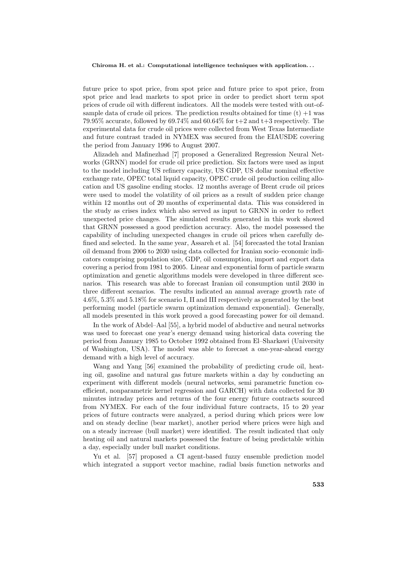future price to spot price, from spot price and future price to spot price, from spot price and lead markets to spot price in order to predict short term spot prices of crude oil with different indicators. All the models were tested with out-ofsample data of crude oil prices. The prediction results obtained for time  $(t) + 1$  was 79.95% accurate, followed by 69.74% and 60.64% for  $t+2$  and  $t+3$  respectively. The experimental data for crude oil prices were collected from West Texas Intermediate and future contrast traded in NYMEX was secured from the EIAUSDE covering the period from January 1996 to August 2007.

Alizadeh and Mafinezhad [7] proposed a Generalized Regression Neural Networks (GRNN) model for crude oil price prediction. Six factors were used as input to the model including US refinery capacity, US GDP, US dollar nominal effective exchange rate, OPEC total liquid capacity, OPEC crude oil production ceiling allocation and US gasoline ending stocks. 12 months average of Brent crude oil prices were used to model the volatility of oil prices as a result of sudden price change within 12 months out of 20 months of experimental data. This was considered in the study as crises index which also served as input to GRNN in order to reflect unexpected price changes. The simulated results generated in this work showed that GRNN possessed a good prediction accuracy. Also, the model possessed the capability of including unexpected changes in crude oil prices when carefully defined and selected. In the same year, Assareh et al. [54] forecasted the total Iranian oil demand from 2006 to 2030 using data collected for Iranian socio–economic indicators comprising population size, GDP, oil consumption, import and export data covering a period from 1981 to 2005. Linear and exponential form of particle swarm optimization and genetic algorithms models were developed in three different scenarios. This research was able to forecast Iranian oil consumption until 2030 in three different scenarios. The results indicated an annual average growth rate of 4.6%, 5.3% and 5.18% for scenario I, II and III respectively as generated by the best performing model (particle swarm optimization demand exponential). Generally, all models presented in this work proved a good forecasting power for oil demand.

In the work of Abdel–Aal [55], a hybrid model of abductive and neural networks was used to forecast one year's energy demand using historical data covering the period from January 1985 to October 1992 obtained from El–Sharkawi (University of Washington, USA). The model was able to forecast a one-year-ahead energy demand with a high level of accuracy.

Wang and Yang [56] examined the probability of predicting crude oil, heating oil, gasoline and natural gas future markets within a day by conducting an experiment with different models (neural networks, semi parametric function coefficient, nonparametric kernel regression and GARCH) with data collected for 30 minutes intraday prices and returns of the four energy future contracts sourced from NYMEX. For each of the four individual future contracts, 15 to 20 year prices of future contracts were analyzed, a period during which prices were low and on steady decline (bear market), another period where prices were high and on a steady increase (bull market) were identified. The result indicated that only heating oil and natural markets possessed the feature of being predictable within a day, especially under bull market conditions.

Yu et al. [57] proposed a CI agent-based fuzzy ensemble prediction model which integrated a support vector machine, radial basis function networks and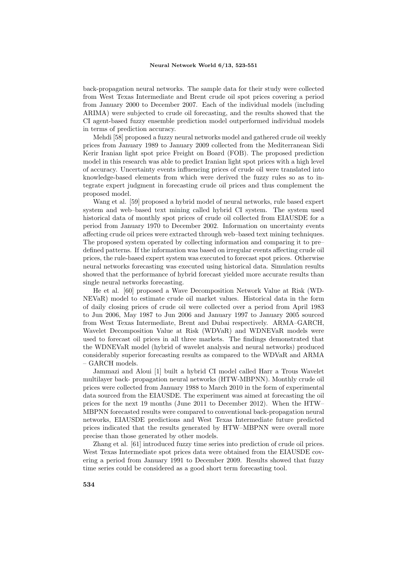back-propagation neural networks. The sample data for their study were collected from West Texas Intermediate and Brent crude oil spot prices covering a period from January 2000 to December 2007. Each of the individual models (including ARIMA) were subjected to crude oil forecasting, and the results showed that the CI agent-based fuzzy ensemble prediction model outperformed individual models in terms of prediction accuracy.

Mehdi [58] proposed a fuzzy neural networks model and gathered crude oil weekly prices from January 1989 to January 2009 collected from the Mediterranean Sidi Kerir Iranian light spot price Freight on Board (FOB). The proposed prediction model in this research was able to predict Iranian light spot prices with a high level of accuracy. Uncertainty events influencing prices of crude oil were translated into knowledge-based elements from which were derived the fuzzy rules so as to integrate expert judgment in forecasting crude oil prices and thus complement the proposed model.

Wang et al. [59] proposed a hybrid model of neural networks, rule based expert system and web–based text mining called hybrid CI system. The system used historical data of monthly spot prices of crude oil collected from EIAUSDE for a period from January 1970 to December 2002. Information on uncertainty events affecting crude oil prices were extracted through web–based text mining techniques. The proposed system operated by collecting information and comparing it to pre– defined patterns. If the information was based on irregular events affecting crude oil prices, the rule-based expert system was executed to forecast spot prices. Otherwise neural networks forecasting was executed using historical data. Simulation results showed that the performance of hybrid forecast yielded more accurate results than single neural networks forecasting.

He et al. [60] proposed a Wave Decomposition Network Value at Risk (WD-NEVaR) model to estimate crude oil market values. Historical data in the form of daily closing prices of crude oil were collected over a period from April 1983 to Jun 2006, May 1987 to Jun 2006 and January 1997 to January 2005 sourced from West Texas Intermediate, Brent and Dubai respectively. ARMA–GARCH, Wavelet Decomposition Value at Risk (WDVaR) and WDNEVaR models were used to forecast oil prices in all three markets. The findings demonstrated that the WDNEVaR model (hybrid of wavelet analysis and neural networks) produced considerably superior forecasting results as compared to the WDVaR and ARMA – GARCH models.

Jammazi and Aloui [1] built a hybrid CI model called Harr a Trous Wavelet multilayer back- propagation neural networks (HTW-MBPNN). Monthly crude oil prices were collected from January 1988 to March 2010 in the form of experimental data sourced from the EIAUSDE. The experiment was aimed at forecasting the oil prices for the next 19 months (June 2011 to December 2012). When the HTW– MBPNN forecasted results were compared to conventional back-propagation neural networks, EIAUSDE predictions and West Texas Intermediate future predicted prices indicated that the results generated by HTW–MBPNN were overall more precise than those generated by other models.

Zhang et al. [61] introduced fuzzy time series into prediction of crude oil prices. West Texas Intermediate spot prices data were obtained from the EIAUSDE covering a period from January 1991 to December 2009. Results showed that fuzzy time series could be considered as a good short term forecasting tool.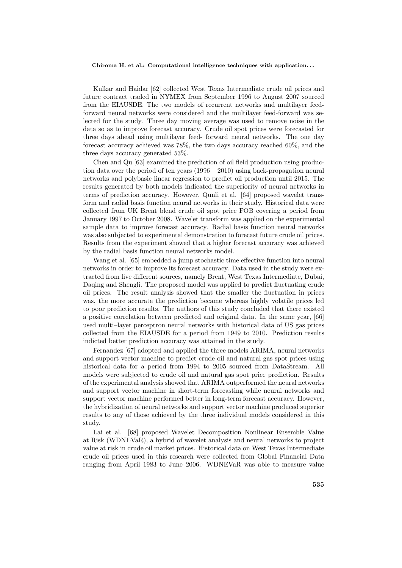Kulkar and Haidar [62] collected West Texas Intermediate crude oil prices and future contract traded in NYMEX from September 1996 to August 2007 sourced from the EIAUSDE. The two models of recurrent networks and multilayer feedforward neural networks were considered and the multilayer feed-forward was selected for the study. Three day moving average was used to remove noise in the data so as to improve forecast accuracy. Crude oil spot prices were forecasted for three days ahead using multilayer feed- forward neural networks. The one day forecast accuracy achieved was 78%, the two days accuracy reached 60%, and the three days accuracy generated 53%.

Chen and Qu [63] examined the prediction of oil field production using production data over the period of ten years (1996 – 2010) using back-propagation neural networks and polybasic linear regression to predict oil production until 2015. The results generated by both models indicated the superiority of neural networks in terms of prediction accuracy. However, Qunli et al. [64] proposed wavelet transform and radial basis function neural networks in their study. Historical data were collected from UK Brent blend crude oil spot price FOB covering a period from January 1997 to October 2008. Wavelet transform was applied on the experimental sample data to improve forecast accuracy. Radial basis function neural networks was also subjected to experimental demonstration to forecast future crude oil prices. Results from the experiment showed that a higher forecast accuracy was achieved by the radial basis function neural networks model.

Wang et al. [65] embedded a jump stochastic time effective function into neural networks in order to improve its forecast accuracy. Data used in the study were extracted from five different sources, namely Brent, West Texas Intermediate, Dubai, Daqing and Shengli. The proposed model was applied to predict fluctuating crude oil prices. The result analysis showed that the smaller the fluctuation in prices was, the more accurate the prediction became whereas highly volatile prices led to poor prediction results. The authors of this study concluded that there existed a positive correlation between predicted and original data. In the same year, [66] used multi–layer perceptron neural networks with historical data of US gas prices collected from the EIAUSDE for a period from 1949 to 2010. Prediction results indicted better prediction accuracy was attained in the study.

Fernandez [67] adopted and applied the three models ARIMA, neural networks and support vector machine to predict crude oil and natural gas spot prices using historical data for a period from 1994 to 2005 sourced from DataStream. All models were subjected to crude oil and natural gas spot price prediction. Results of the experimental analysis showed that ARIMA outperformed the neural networks and support vector machine in short-term forecasting while neural networks and support vector machine performed better in long-term forecast accuracy. However, the hybridization of neural networks and support vector machine produced superior results to any of those achieved by the three individual models considered in this study.

Lai et al. [68] proposed Wavelet Decomposition Nonlinear Ensemble Value at Risk (WDNEVaR), a hybrid of wavelet analysis and neural networks to project value at risk in crude oil market prices. Historical data on West Texas Intermediate crude oil prices used in this research were collected from Global Financial Data ranging from April 1983 to June 2006. WDNEVaR was able to measure value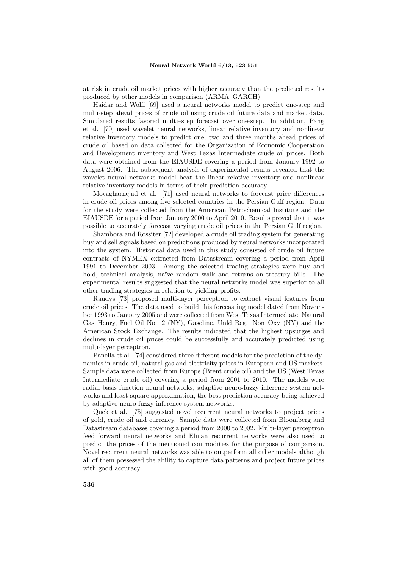at risk in crude oil market prices with higher accuracy than the predicted results produced by other models in comparison (ARMA–GARCH).

Haidar and Wolff [69] used a neural networks model to predict one-step and multi-step ahead prices of crude oil using crude oil future data and market data. Simulated results favored multi–step forecast over one-step. In addition, Pang et al. [70] used wavelet neural networks, linear relative inventory and nonlinear relative inventory models to predict one, two and three months ahead prices of crude oil based on data collected for the Organization of Economic Cooperation and Development inventory and West Texas Intermediate crude oil prices. Both data were obtained from the EIAUSDE covering a period from January 1992 to August 2006. The subsequent analysis of experimental results revealed that the wavelet neural networks model beat the linear relative inventory and nonlinear relative inventory models in terms of their prediction accuracy.

Movagharnejad et al. [71] used neural networks to forecast price differences in crude oil prices among five selected countries in the Persian Gulf region. Data for the study were collected from the American Petrochemical Institute and the EIAUSDE for a period from January 2000 to April 2010. Results proved that it was possible to accurately forecast varying crude oil prices in the Persian Gulf region.

Shambora and Rossiter [72] developed a crude oil trading system for generating buy and sell signals based on predictions produced by neural networks incorporated into the system. Historical data used in this study consisted of crude oil future contracts of NYMEX extracted from Datastream covering a period from April 1991 to December 2003. Among the selected trading strategies were buy and hold, technical analysis, naïve random walk and returns on treasury bills. The experimental results suggested that the neural networks model was superior to all other trading strategies in relation to yielding profits.

Raudys [73] proposed multi-layer perceptron to extract visual features from crude oil prices. The data used to build this forecasting model dated from November 1993 to January 2005 and were collected from West Texas Intermediate, Natural Gas–Henry, Fuel Oil No. 2 (NY), Gasoline, Unld Reg. Non–Oxy (NY) and the American Stock Exchange. The results indicated that the highest upsurges and declines in crude oil prices could be successfully and accurately predicted using multi-layer perceptron.

Panella et al. [74] considered three different models for the prediction of the dynamics in crude oil, natural gas and electricity prices in European and US markets. Sample data were collected from Europe (Brent crude oil) and the US (West Texas Intermediate crude oil) covering a period from 2001 to 2010. The models were radial basis function neural networks, adaptive neuro-fuzzy inference system networks and least-square approximation, the best prediction accuracy being achieved by adaptive neuro-fuzzy inference system networks.

Quek et al. [75] suggested novel recurrent neural networks to project prices of gold, crude oil and currency. Sample data were collected from Bloomberg and Datastream databases covering a period from 2000 to 2002. Multi-layer perceptron feed forward neural networks and Elman recurrent networks were also used to predict the prices of the mentioned commodities for the purpose of comparison. Novel recurrent neural networks was able to outperform all other models although all of them possessed the ability to capture data patterns and project future prices with good accuracy.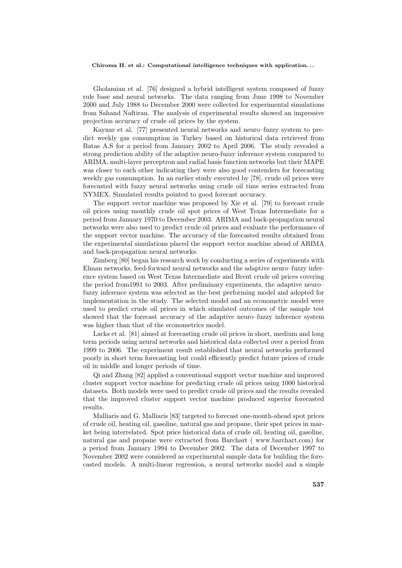Gholamian et al. [76] designed a hybrid intelligent system composed of fuzzy rule base and neural networks. The data ranging from June 1998 to November 2000 and July 1988 to December 2000 were collected for experimental simulations from Sahand Naftiran. The analysis of experimental results showed an impressive projection accuracy of crude oil prices by the system.

Kaynar et al. [77] presented neural networks and neuro–fuzzy system to predict weekly gas consumption in Turkey based on historical data retrieved from Batas A.S for a period from January 2002 to April 2006. The study revealed a strong prediction ability of the adaptive neuro-fuzzy inference system compared to ARIMA, multi-layer perceptron and radial basis function networks but their MAPE was closer to each other indicating they were also good contenders for forecasting weekly gas consumption. In an earlier study executed by [78], crude oil prices were forecasted with fuzzy neural networks using crude oil time series extracted from NYMEX. Simulated results pointed to good forecast accuracy.

The support vector machine was proposed by Xie et al. [79] to forecast crude oil prices using monthly crude oil spot prices of West Texas Intermediate for a period from January 1970 to December 2003. ARIMA and back-propagation neural networks were also used to predict crude oil prices and evaluate the performance of the support vector machine. The accuracy of the forecasted results obtained from the experimental simulations placed the support vector machine ahead of ARIMA and back-propagation neural networks.

Zimberg [80] began his research work by conducting a series of experiments with Elman networks, feed-forward neural networks and the adaptive neuro–fuzzy inference system based on West Texas Intermediate and Brent crude oil prices covering the period from1991 to 2003. After preliminary experiments, the adaptive neuro– fuzzy inference system was selected as the best performing model and adopted for implementation in the study. The selected model and an econometric model were used to predict crude oil prices in which simulated outcomes of the sample test showed that the forecast accuracy of the adaptive neuro–fuzzy inference system was higher than that of the econometrics model.

Lacks et al. [81] aimed at forecasting crude oil prices in short, medium and long term periods using neural networks and historical data collected over a period from 1999 to 2006. The experiment result established that neural networks performed poorly in short term forecasting but could efficiently predict future prices of crude oil in middle and longer periods of time.

Qi and Zhang [82] applied a conventional support vector machine and improved cluster support vector machine for predicting crude oil prices using 1000 historical datasets. Both models were used to predict crude oil prices and the results revealed that the improved cluster support vector machine produced superior forecasted results.

Malliaris and G. Malliaris [83] targeted to forecast one-month-ahead spot prices of crude oil, heating oil, gasoline, natural gas and propane, their spot prices in market being interrelated. Spot price historical data of crude oil, heating oil, gasoline, natural gas and propane were extracted from Barchart ( www.barchart.com) for a period from January 1994 to December 2002. The data of December 1997 to November 2002 were considered as experimental sample data for building the forecasted models. A multi-linear regression, a neural networks model and a simple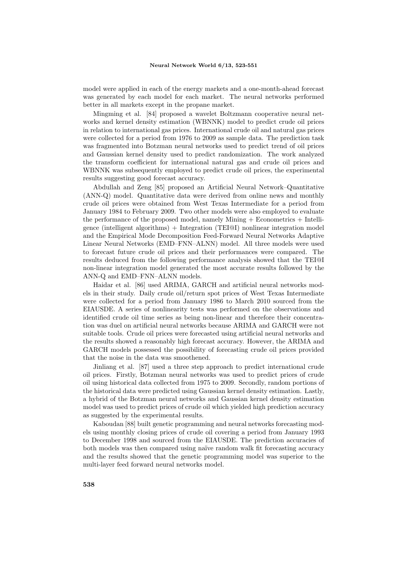model were applied in each of the energy markets and a one-month-ahead forecast was generated by each model for each market. The neural networks performed better in all markets except in the propane market.

Mingming et al. [84] proposed a wavelet Boltzmann cooperative neural networks and kernel density estimation (WBNNK) model to predict crude oil prices in relation to international gas prices. International crude oil and natural gas prices were collected for a period from 1976 to 2009 as sample data. The prediction task was fragmented into Botzman neural networks used to predict trend of oil prices and Gaussian kernel density used to predict randomization. The work analyzed the transform coefficient for international natural gas and crude oil prices and WBNNK was subsequently employed to predict crude oil prices, the experimental results suggesting good forecast accuracy.

Abdullah and Zeng [85] proposed an Artificial Neural Network–Quantitative (ANN-Q) model. Quantitative data were derived from online news and monthly crude oil prices were obtained from West Texas Intermediate for a period from January 1984 to February 2009. Two other models were also employed to evaluate the performance of the proposed model, namely Mining + Econometrics + Intelligence (intelligent algorithms) + Integration (TEI@I) nonlinear integration model and the Empirical Mode Decomposition Feed-Forward Neural Networks Adaptive Linear Neural Networks (EMD–FNN–ALNN) model. All three models were used to forecast future crude oil prices and their performances were compared. The results deduced from the following performance analysis showed that the TEI@I non-linear integration model generated the most accurate results followed by the ANN-Q and EMD–FNN–ALNN models.

Haidar et al. [86] used ARIMA, GARCH and artificial neural networks models in their study. Daily crude oil/return spot prices of West Texas Intermediate were collected for a period from January 1986 to March 2010 sourced from the EIAUSDE. A series of nonlinearity tests was performed on the observations and identified crude oil time series as being non-linear and therefore their concentration was duel on artificial neural networks because ARIMA and GARCH were not suitable tools. Crude oil prices were forecasted using artificial neural networks and the results showed a reasonably high forecast accuracy. However, the ARIMA and GARCH models possessed the possibility of forecasting crude oil prices provided that the noise in the data was smoothened.

Jinliang et al. [87] used a three step approach to predict international crude oil prices. Firstly, Botzman neural networks was used to predict prices of crude oil using historical data collected from 1975 to 2009. Secondly, random portions of the historical data were predicted using Gaussian kernel density estimation. Lastly, a hybrid of the Botzman neural networks and Gaussian kernel density estimation model was used to predict prices of crude oil which yielded high prediction accuracy as suggested by the experimental results.

Kaboudan [88] built genetic programming and neural networks forecasting models using monthly closing prices of crude oil covering a period from January 1993 to December 1998 and sourced from the EIAUSDE. The prediction accuracies of both models was then compared using na¨ıve random walk fit forecasting accuracy and the results showed that the genetic programming model was superior to the multi-layer feed forward neural networks model.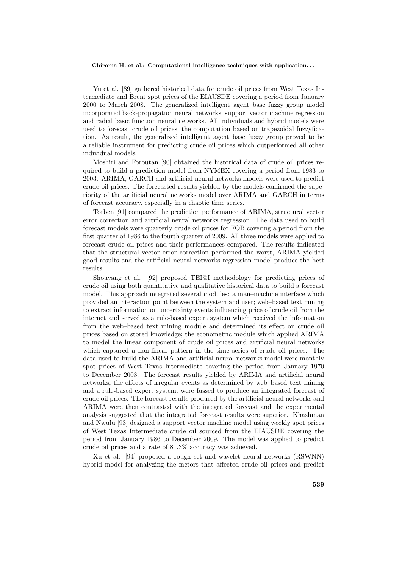Yu et al. [89] gathered historical data for crude oil prices from West Texas Intermediate and Brent spot prices of the EIAUSDE covering a period from January 2000 to March 2008. The generalized intelligent–agent–base fuzzy group model incorporated back-propagation neural networks, support vector machine regression and radial basic function neural networks. All individuals and hybrid models were used to forecast crude oil prices, the computation based on trapezoidal fuzzyfication. As result, the generalized intelligent–agent–base fuzzy group proved to be a reliable instrument for predicting crude oil prices which outperformed all other individual models.

Moshiri and Foroutan [90] obtained the historical data of crude oil prices required to build a prediction model from NYMEX covering a period from 1983 to 2003. ARIMA, GARCH and artificial neural networks models were used to predict crude oil prices. The forecasted results yielded by the models confirmed the superiority of the artificial neural networks model over ARIMA and GARCH in terms of forecast accuracy, especially in a chaotic time series.

Torben [91] compared the prediction performance of ARIMA, structural vector error correction and artificial neural networks regression. The data used to build forecast models were quarterly crude oil prices for FOB covering a period from the first quarter of 1986 to the fourth quarter of 2009. All three models were applied to forecast crude oil prices and their performances compared. The results indicated that the structural vector error correction performed the worst, ARIMA yielded good results and the artificial neural networks regression model produce the best results.

Shouyang et al. [92] proposed TEI@I methodology for predicting prices of crude oil using both quantitative and qualitative historical data to build a forecast model. This approach integrated several modules: a man–machine interface which provided an interaction point between the system and user; web–based text mining to extract information on uncertainty events influencing price of crude oil from the internet and served as a rule-based expert system which received the information from the web–based text mining module and determined its effect on crude oil prices based on stored knowledge; the econometric module which applied ARIMA to model the linear component of crude oil prices and artificial neural networks which captured a non-linear pattern in the time series of crude oil prices. The data used to build the ARIMA and artificial neural networks model were monthly spot prices of West Texas Intermediate covering the period from January 1970 to December 2003. The forecast results yielded by ARIMA and artificial neural networks, the effects of irregular events as determined by web–based text mining and a rule-based expert system, were fussed to produce an integrated forecast of crude oil prices. The forecast results produced by the artificial neural networks and ARIMA were then contrasted with the integrated forecast and the experimental analysis suggested that the integrated forecast results were superior. Khashman and Nwulu [93] designed a support vector machine model using weekly spot prices of West Texas Intermediate crude oil sourced from the EIAUSDE covering the period from January 1986 to December 2009. The model was applied to predict crude oil prices and a rate of 81.3% accuracy was achieved.

Xu et al. [94] proposed a rough set and wavelet neural networks (RSWNN) hybrid model for analyzing the factors that affected crude oil prices and predict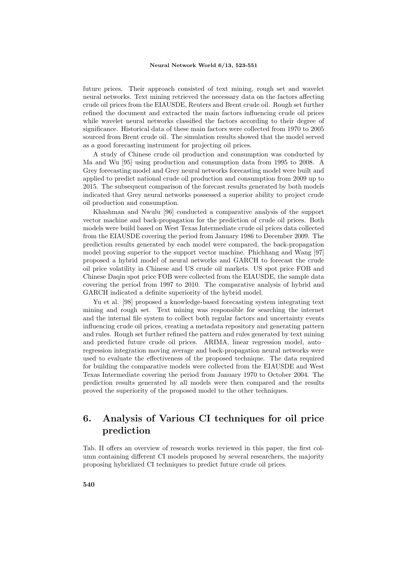future prices. Their approach consisted of text mining, rough set and wavelet neural networks. Text mining retrieved the necessary data on the factors affecting crude oil prices from the EIAUSDE, Reuters and Brent crude oil. Rough set further refined the document and extracted the main factors influencing crude oil prices while wavelet neural networks classified the factors according to their degree of significance. Historical data of these main factors were collected from 1970 to 2005 sourced from Brent crude oil. The simulation results showed that the model served as a good forecasting instrument for projecting oil prices.

A study of Chinese crude oil production and consumption was conducted by Ma and Wu [95] using production and consumption data from 1995 to 2008. A Grey forecasting model and Grey neural networks forecasting model were built and applied to predict national crude oil production and consumption from 2009 up to 2015. The subsequent comparison of the forecast results generated by both models indicated that Grey neural networks possessed a superior ability to project crude oil production and consumption.

Khashman and Nwulu [96] conducted a comparative analysis of the support vector machine and back-propagation for the prediction of crude oil prices. Both models were build based on West Texas Intermediate crude oil prices data collected from the EIAUSDE covering the period from January 1986 to December 2009. The prediction results generated by each model were compared, the back-propagation model proving superior to the support vector machine. Phichhang and Wang [97] proposed a hybrid model of neural networks and GARCH to forecast the crude oil price volatility in Chinese and US crude oil markets. US spot price FOB and Chinese Daqin spot price FOB were collected from the EIAUSDE, the sample data covering the period from 1997 to 2010. The comparative analysis of hybrid and GARCH indicated a definite superiority of the hybrid model.

Yu et al. [98] proposed a knowledge-based forecasting system integrating text mining and rough set. Text mining was responsible for searching the internet and the internal file system to collect both regular factors and uncertainty events influencing crude oil prices, creating a metadata repository and generating pattern and rules. Rough set further refined the pattern and rules generated by text mining and predicted future crude oil prices. ARIMA, linear regression model, auto– regression integration moving average and back-propagation neural networks were used to evaluate the effectiveness of the proposed technique. The data required for building the comparative models were collected from the EIAUSDE and West Texas Intermediate covering the period from January 1970 to October 2004. The prediction results generated by all models were then compared and the results proved the superiority of the proposed model to the other techniques.

## **6. Analysis of Various CI techniques for oil price prediction**

Tab. II offers an overview of research works reviewed in this paper, the first column containing different CI models proposed by several researchers, the majority proposing hybridized CI techniques to predict future crude oil prices.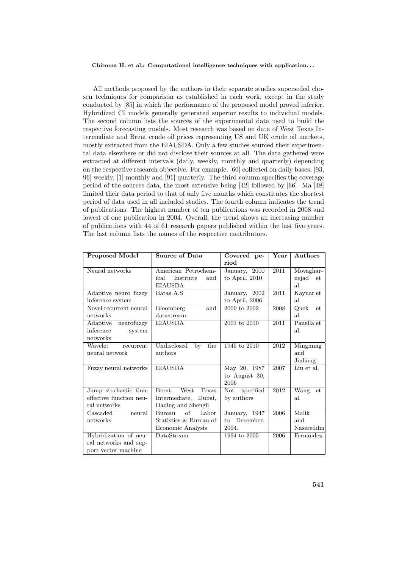All methods proposed by the authors in their separate studies superseded chosen techniques for comparison as established in each work, except in the study conducted by [85] in which the performance of the proposed model proved inferior. Hybridized CI models generally generated superior results to individual models. The second column lists the sources of the experimental data used to build the respective forecasting models. Most research was based on data of West Texas Intermediate and Brent crude oil prices representing US and UK crude oil markets, mostly extracted from the EIAUSDA. Only a few studies sourced their experimental data elsewhere or did not disclose their sources at all. The data gathered were extracted at different intervals (daily, weekly, monthly and quarterly) depending on the respective research objective. For example, [60] collected on daily bases, [93, 96] weekly, [1] monthly and [91] quarterly. The third column specifies the coverage period of the sources data, the most extensive being [42] followed by [66]. Ma [48] limited their data period to that of only five months which constitutes the shortest period of data used in all included studies. The fourth column indicates the trend of publications. The highest number of ten publications was recorded in 2008 and lowest of one publication in 2004. Overall, the trend shows an increasing number of publications with 44 of 61 research papers published within the last five years. The last column lists the names of the respective contributors.

| <b>Proposed Model</b>   | Source of Data           | Covered pe-                | $\operatorname{Year}$ | Authors     |
|-------------------------|--------------------------|----------------------------|-----------------------|-------------|
|                         |                          | riod                       |                       |             |
| Neural networks         | American Petrochem-      | January, 2000              | 2011                  | Movaghar-   |
|                         | ical<br>Institute<br>and | to April, 2010             |                       | nejad<br>et |
|                         | <b>EIAUSDA</b>           |                            |                       | al.         |
| Adaptive neuro fuzzy    | Batas A.S                | January, 2002              | 2011                  | Kaynar et   |
| inference system        |                          | to April, 2006             |                       | al.         |
| Novel recurrent neural  | Bloomberg<br>and         | 2000 to 2002               | 2008                  | Quek<br>et  |
| networks                | datastream               |                            |                       | al.         |
| Adaptive<br>neurofuzzy  | <b>EIAUSDA</b>           | 2001 to 2010               | 2011                  | Panella et  |
| inference<br>system     |                          |                            |                       | al.         |
| networks                |                          |                            |                       |             |
| Wavelet<br>recurrent    | Undisclosed<br>by<br>the | 1945 to 2010               | 2012                  | Mingming    |
| neural network          | authors                  |                            |                       | and         |
|                         |                          |                            |                       | Jinliang    |
| Fuzzy neural networks   | <b>EIAUSDA</b>           | May 20, 1987               | 2007                  | Liu et al.  |
|                         |                          | to August 30,              |                       |             |
|                         |                          | 2006                       |                       |             |
| Jump stochastic time    | West<br>Texas<br>Brent,  | specified<br>Not           | 2012                  | Wang<br>et  |
| effective function neu- | Intermediate,<br>Dubai,  | by authors                 |                       | al.         |
| ral networks            | Daqing and Shengli       |                            |                       |             |
| Cascaded<br>neural      | of<br>Labor<br>Bureau    | January, $19\overline{47}$ | 2006                  | Malik       |
| networks                | Statistics & Bureau of   | December,<br>to            |                       | and         |
|                         | Economic Analysis        | 2004.                      |                       | Nasereddin  |
| Hybridization of neu-   | DataStream               | 1994 to 2005               | 2006                  | Fernandez   |
| ral networks and sup-   |                          |                            |                       |             |
| port vector machine     |                          |                            |                       |             |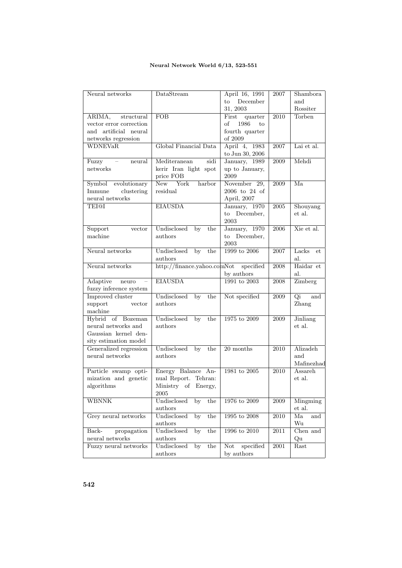## **Neural Network World 6/13, 523-551**

| Neural networks           | DataStream                            | April 16, 1991                    | 2007              | Shambora      |
|---------------------------|---------------------------------------|-----------------------------------|-------------------|---------------|
|                           |                                       | December<br>to                    |                   | and           |
|                           |                                       | 31, 2003                          |                   | Rossiter      |
| ARIMA,<br>structural      | FOB                                   | First<br>quarter                  | 2010              | <b>Torben</b> |
| vector error correction   |                                       | of<br>1986<br>to                  |                   |               |
| and artificial<br>neural  |                                       | fourth quarter                    |                   |               |
| networks regression       |                                       | of 2009                           |                   |               |
| <b>WDNEVaR</b>            | Global Financial Data                 | April 4, 1983                     | 2007              | Lai et al.    |
|                           |                                       | to Jun 30, 2006                   |                   |               |
| Fuzzy<br>$\sim$<br>neural | Mediteranean<br>sidi                  | January, 1989                     | 2009              | Mehdi         |
| networks                  |                                       |                                   |                   |               |
|                           | kerir Iran light spot                 | up to January,<br>2009            |                   |               |
|                           | price FOB                             |                                   |                   |               |
| Symbol evolutionary       | New<br>York<br>harbor                 | November 29,                      | 2009              | Ma            |
| Immune<br>clustering      | residual                              | 2006 to 24 of                     |                   |               |
| $\quad$ neural networks   |                                       | April, 2007                       |                   |               |
| <b>TEI@I</b>              | <b>EIAUSDA</b>                        | $\overline{\text{January}, 1970}$ | $\,2005\,$        | Shouyang      |
|                           |                                       | to December,                      |                   | et al.        |
|                           |                                       | 2003                              |                   |               |
| Support<br>vector         | Undisclosed<br>by<br>the              | January, 1970                     | 2006              | Xie et al.    |
| machine                   | $_{\rm authors}$                      | to December,                      |                   |               |
|                           |                                       | 2003                              |                   |               |
| Neural networks           | Undisclosed<br>by<br>the              | 1999 to 2006                      | 2007              | Lacks<br>et   |
|                           | authors                               |                                   |                   | al.           |
| Neural networks           | http://finance.yahoo.comNot specified |                                   | 2008              | Haidar et     |
|                           |                                       | by authors                        |                   | al.           |
| Adaptive<br>neuro         | <b>EIAUSDA</b>                        | 1991 to 2003                      | 2008              | Zimberg       |
|                           |                                       |                                   |                   |               |
| fuzzy inference system    |                                       |                                   |                   |               |
| Improved cluster          | Undisclosed<br>by<br>the              | Not specified                     | 2009              | Qi<br>and     |
| support<br>vector         | authors                               |                                   |                   | Zhang         |
| machine                   |                                       |                                   |                   |               |
| Hybrid of Bozeman         | Undisclosed<br>$\overline{by}$<br>the | $1975$ to $2009\,$                | 2009              | Jinliang      |
| neural networks and       | authors                               |                                   |                   | et al.        |
| Gaussian kernel den-      |                                       |                                   |                   |               |
| sity estimation model     |                                       |                                   |                   |               |
| Generalized regression    | Undisclosed<br>$\overline{by}$<br>the | $20$ months                       | 2010              | Alizadeh      |
| neural networks           | authors                               |                                   |                   | and           |
|                           |                                       |                                   |                   | Mafinezhad    |
| Particle swamp opti-      | Energy Balance An-                    | $1981$ to $2005\,$                | $\overline{2010}$ | Assareh       |
| mization and genetic      | nual Report. Tehran:                  |                                   |                   | et al.        |
| algorithms                | Ministry of Energy,                   |                                   |                   |               |
|                           | 2005                                  |                                   |                   |               |
| <b>WBNNK</b>              | Undisclosed<br>by<br>the              | 1976 to 2009                      | 2009              | Mingming      |
|                           | authors                               |                                   |                   | et al.        |
| Grey neural networks      | Undisclosed<br>by<br>the              | 1995 to $2008$                    | 2010              | Ma            |
|                           |                                       |                                   |                   | and           |
|                           | authors                               |                                   |                   | Wu            |
| propagation<br>Back-      | Undisclosed<br>by<br>the              | 1996 to 2010                      | 2011              | Chen and      |
| neural networks           | authors                               |                                   |                   | Qu            |
| Fuzzy neural networks     | Undisclosed<br>by<br>the              | specified<br>Not                  | 2001              | Rast          |
|                           | authors                               | by authors                        |                   |               |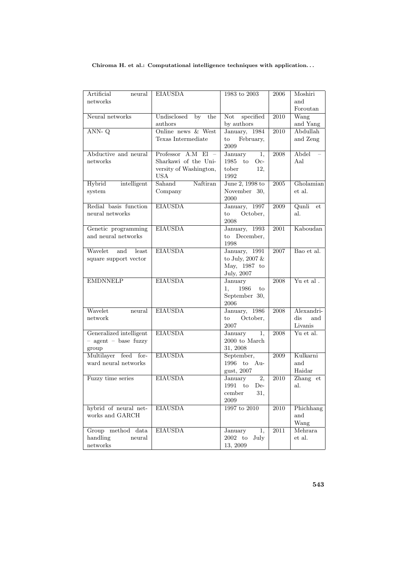| Artificial<br>neural            | <b>EIAUSDA</b>                | 1983 to 2003                                          | 2006              | Moshiri                             |
|---------------------------------|-------------------------------|-------------------------------------------------------|-------------------|-------------------------------------|
| networks                        |                               |                                                       |                   | and                                 |
| Neural networks                 | Undisclosed<br>by the         | specified<br>Not                                      | 2010              | Foroutan<br>Wang                    |
|                                 | authors                       | by authors                                            |                   | and Yang                            |
| $ANN-Q$                         | Online news & West            | January, 1984                                         | $\overline{2010}$ | Abdullah                            |
|                                 | Texas Intermediate            | February,<br>$\mathop{\mathrm{to}}$                   |                   | and Zeng                            |
|                                 |                               | 2009                                                  |                   |                                     |
| Abductive and neural            | Professor $A.M$ El $-$        | January<br>$\overline{1,}$                            | 2008              | Abdel                               |
| networks                        | Sharkawi of the Uni-          | 1985 to Oc-                                           |                   | Aal                                 |
|                                 | versity of Washington,        | tober<br>12.                                          |                   |                                     |
|                                 | <b>USA</b>                    | 1992                                                  |                   |                                     |
| Hybrid<br>intelligent<br>system | Sahand<br>Naftiran<br>Company | June 2, 1998 to<br>November 30,                       | $\,2005\,$        | Gholamian<br>et al.                 |
|                                 |                               | 2000                                                  |                   |                                     |
| Redial basis function           | <b>EIAUSDA</b>                | January, 1997                                         | 2009              | Qunli<br>et                         |
| neural networks                 |                               | October,<br>$\mathbf{to}$                             |                   | al.                                 |
|                                 |                               | 2008                                                  |                   |                                     |
| Genetic programming             | <b>EIAUSDA</b>                | January, 1993                                         | 2001              | Kaboudan                            |
| and neural networks             |                               | to December,                                          |                   |                                     |
| Wavelet<br>and<br>least         | <b>EIAUSDA</b>                | 1998<br>January, 1991                                 | 2007              | Bao et al.                          |
| square support vector           |                               | to July, $2007 \&$                                    |                   |                                     |
|                                 |                               | May, 1987 to                                          |                   |                                     |
|                                 |                               | July, 2007                                            |                   |                                     |
| <b>EMDNNELP</b>                 | <b>EIAUSDA</b>                | January                                               | 2008              | Yu et al.                           |
|                                 |                               | 1986<br>1,<br>to                                      |                   |                                     |
|                                 |                               | September 30,                                         |                   |                                     |
|                                 |                               | 2006                                                  |                   |                                     |
| Wavelet<br>neural<br>network    | <b>EIAUSDA</b>                | January, 1986<br>October,<br>to                       | 2008              | Alexandri-<br>$\mathrm{dis}$<br>and |
|                                 |                               | 2007                                                  |                   | Livanis                             |
| Generalized intelligent         | <b>EIAUSDA</b>                | January<br>1.                                         | 2008              | Yu et al.                           |
| $-$ agent $-$ base fuzzy        |                               | $2000$ to March                                       |                   |                                     |
| group                           |                               | 31, 2008                                              |                   |                                     |
| Multilayer feed for-            | <b>EIAUSDA</b>                | September,                                            | 2009              | Kulkarni                            |
| ward neural networks            |                               | 1996 to Au-                                           |                   | and                                 |
|                                 |                               | gust, 2007                                            |                   | Haidar                              |
| Fuzzy time series               | <b>EIAUSDA</b>                | <b>January</b><br>$\overline{2,}$<br>$1991$ to<br>De- | $\overline{2010}$ | Zhang<br>et<br>al.                  |
|                                 |                               | cember<br>31,                                         |                   |                                     |
|                                 |                               | 2009                                                  |                   |                                     |
| hybrid of neural net-           | <b>EIAUSDA</b>                | 1997 to 2010                                          | $\overline{2010}$ | Phichhang                           |
| works and GARCH                 |                               |                                                       |                   | and                                 |
|                                 |                               |                                                       |                   | Wang                                |
| Group method data               | <b>EIAUSDA</b>                | January<br>1.                                         | $\overline{2011}$ | Mehrara                             |
| handling<br>neural              |                               | $2002$ to<br>July                                     |                   | et al.                              |
| ${\rm networks}$                |                               | 13, 2009                                              |                   |                                     |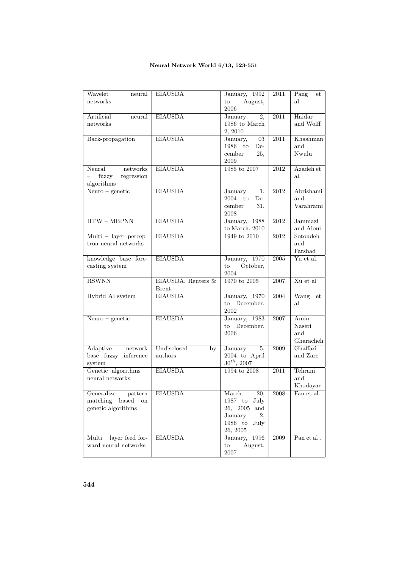## **Neural Network World 6/13, 523-551**

| Wavelet<br>neural         | <b>EIAUSDA</b>     | January, 1992                      | 2011              | Pang<br>$_{\rm et}$ |
|---------------------------|--------------------|------------------------------------|-------------------|---------------------|
| networks                  |                    | to<br>August,                      |                   | al.                 |
|                           |                    | 2006                               |                   |                     |
| Artificial<br>neural      | <b>EIAUSDA</b>     | $\overline{2,}$<br>January         | $\overline{2011}$ | Haidar              |
| networks                  |                    | 1986 to March                      |                   | and Wolff           |
|                           |                    | 2, 2010                            |                   |                     |
| Back-propagation          | <b>EIAUSDA</b>     | January,<br>$03\,$                 | $2011\,$          | Khashman            |
|                           |                    | 1986 to<br>De-                     |                   | and                 |
|                           |                    | 25,<br>cember                      |                   | Nwulu               |
|                           |                    | 2009                               |                   |                     |
| Neural networks           | <b>EIAUSDA</b>     | $1985$ to $2007$                   | 2012              | Azadeh et           |
| fuzzy<br>regression       |                    |                                    |                   | al.                 |
| algorithms                |                    |                                    |                   |                     |
|                           |                    |                                    |                   |                     |
| $Neuro - genetic$         | <b>EIAUSDA</b>     | January<br>1,                      | 2012              | Abrishami           |
|                           |                    | $2004$ to<br>De-                   |                   | and                 |
|                           |                    | cember<br>31,                      |                   | Varahrami           |
|                           |                    | 2008                               |                   |                     |
| $HTW - MBPNN$             | <b>EIAUSDA</b>     | January, 1988                      | 2012              | Jammazi             |
|                           |                    | to March, $2010$                   |                   | and Aloui           |
| $Multi - layer percep-$   | <b>EIAUSDA</b>     | 1949 to 2010                       | 2012              | Sotoudeh            |
| tron neural networks      |                    |                                    |                   | and                 |
|                           |                    |                                    |                   | Farshad             |
| knowledge base fore-      | <b>EIAUSDA</b>     | January, 1970                      | 2005              | Yu et al.           |
| casting system            |                    | October,<br>$\mathop{\mathrm{to}}$ |                   |                     |
|                           |                    | 2004                               |                   |                     |
| <b>RSWNN</b>              | EIAUSDA, Reuters & | 1970 to 2005                       | 2007              | Xu et al            |
|                           | Brent.             |                                    |                   |                     |
| Hybrid AI system          | <b>EIAUSDA</b>     | January, 1970                      | 2004              | Wang<br>et          |
|                           |                    | to December,                       |                   | al                  |
|                           |                    | 2002                               |                   |                     |
| $Neuro - genetic$         | <b>EIAUSDA</b>     | January, 1983                      | 2007              | Amin-               |
|                           |                    | to December,                       |                   | Naseri              |
|                           |                    | 2006                               |                   | and                 |
|                           |                    |                                    |                   | Gharacheh           |
| Adaptive network          | Undisclosed<br>by  | January<br>5,                      | 2009              | Ghaffari            |
| base fuzzy inference      | authors            | 2004 to April                      |                   | and Zare            |
| system                    |                    | $30^{th}$ , 2007                   |                   |                     |
| Genetic algorithms -      | <b>EIAUSDA</b>     | 1994 to 2008                       | $\overline{2011}$ | Tehrani             |
| neural networks           |                    |                                    |                   | and                 |
|                           |                    |                                    |                   | Khodayar            |
| Generalize pattern        | <b>EIAUSDA</b>     | March<br>$\overline{20}$           | 2008              | Fan et al.          |
| matching based            |                    |                                    |                   |                     |
| on                        |                    | 1987 to July                       |                   |                     |
| genetic algorithms        |                    | 26, 2005<br>and                    |                   |                     |
|                           |                    | January<br>2,                      |                   |                     |
|                           |                    | $1986\quad\mathrm{to}$<br>July     |                   |                     |
|                           |                    | 26, 2005                           |                   |                     |
| $Multi - layer feed for-$ | <b>EIAUSDA</b>     | January,<br>1996                   | 2009              | Pan et al.          |
| ward neural networks      |                    | $\mathbf{to}$<br>August,           |                   |                     |
|                           |                    | 2007                               |                   |                     |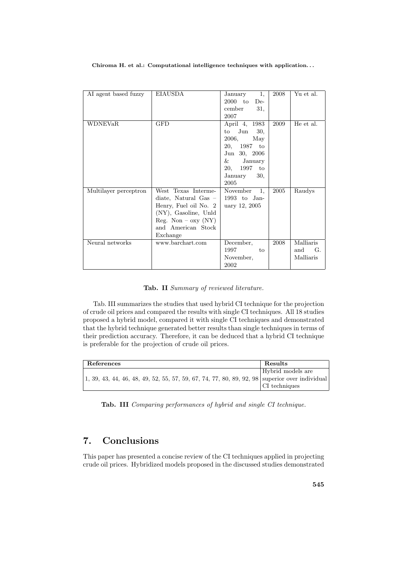|                       | EIAUSDA                 | 1,                        | 2008 | Yu et al.   |
|-----------------------|-------------------------|---------------------------|------|-------------|
| AI agent based fuzzy  |                         | January                   |      |             |
|                       |                         | $2000$ to De-             |      |             |
|                       |                         | cember<br>31,             |      |             |
|                       |                         | 2007                      |      |             |
| <b>WDNEVaR</b>        | <b>GFD</b>              | April 4, 1983             | 2009 | He et al.   |
|                       |                         | Jun<br>30.<br>to          |      |             |
|                       |                         | 2006,<br>May              |      |             |
|                       |                         | 20, 1987 to               |      |             |
|                       |                         | Jun 30, 2006              |      |             |
|                       |                         | $&\hspace{0.1cm}$ January |      |             |
|                       |                         | 20, 1997<br>to            |      |             |
|                       |                         | January<br>30,            |      |             |
|                       |                         | 2005                      |      |             |
| Multilayer perceptron | West Texas Interme-     | November<br>1.            | 2005 | Raudys      |
|                       |                         |                           |      |             |
|                       | diate, Natural Gas $-$  | $1993$ to Jan-            |      |             |
|                       | Henry, Fuel oil No. 2   | uary 12, 2005             |      |             |
|                       | $(NY)$ , Gasoline, Unld |                           |      |             |
|                       | $Reg. Non - oxy (NY)$   |                           |      |             |
|                       | and American Stock      |                           |      |             |
|                       | Exchange                |                           |      |             |
| Neural networks       | www.barchart.com        | December,                 | 2008 | Malliaris   |
|                       |                         | 1997<br>to                |      | and<br>- G. |
|                       |                         | November,                 |      | Malliaris   |
|                       |                         | 2002                      |      |             |

### **Tab. II** *Summary of reviewed literature.*

Tab. III summarizes the studies that used hybrid CI technique for the projection of crude oil prices and compared the results with single CI techniques. All 18 studies proposed a hybrid model, compared it with single CI techniques and demonstrated that the hybrid technique generated better results than single techniques in terms of their prediction accuracy. Therefore, it can be deduced that a hybrid CI technique is preferable for the projection of crude oil prices.

| References                                                                                     | Results               |
|------------------------------------------------------------------------------------------------|-----------------------|
|                                                                                                | Hybrid models are     |
| 1, 39, 43, 44, 46, 48, 49, 52, 55, 57, 59, 67, 74, 77, 80, 89, 92, 98 superior over individual |                       |
|                                                                                                | $\vert$ CI techniques |

**Tab. III** *Comparing performances of hybrid and single CI technique.*

## **7. Conclusions**

This paper has presented a concise review of the CI techniques applied in projecting crude oil prices. Hybridized models proposed in the discussed studies demonstrated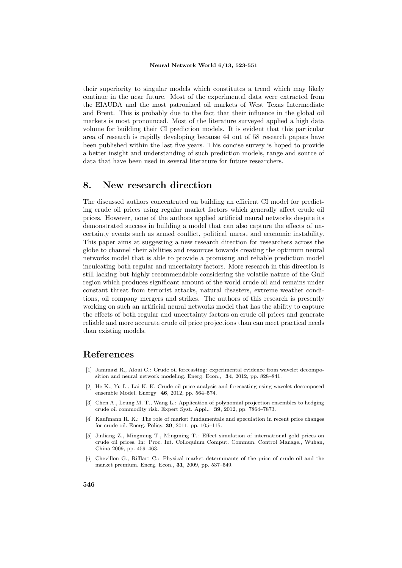#### **Neural Network World 6/13, 523-551**

their superiority to singular models which constitutes a trend which may likely continue in the near future. Most of the experimental data were extracted from the EIAUDA and the most patronized oil markets of West Texas Intermediate and Brent. This is probably due to the fact that their influence in the global oil markets is most pronounced. Most of the literature surveyed applied a high data volume for building their CI prediction models. It is evident that this particular area of research is rapidly developing because 44 out of 58 research papers have been published within the last five years. This concise survey is hoped to provide a better insight and understanding of such prediction models, range and source of data that have been used in several literature for future researchers.

## **8. New research direction**

The discussed authors concentrated on building an efficient CI model for predicting crude oil prices using regular market factors which generally affect crude oil prices. However, none of the authors applied artificial neural networks despite its demonstrated success in building a model that can also capture the effects of uncertainty events such as armed conflict, political unrest and economic instability. This paper aims at suggesting a new research direction for researchers across the globe to channel their abilities and resources towards creating the optimum neural networks model that is able to provide a promising and reliable prediction model inculcating both regular and uncertainty factors. More research in this direction is still lacking but highly recommendable considering the volatile nature of the Gulf region which produces significant amount of the world crude oil and remains under constant threat from terrorist attacks, natural disasters, extreme weather conditions, oil company mergers and strikes. The authors of this research is presently working on such an artificial neural networks model that has the ability to capture the effects of both regular and uncertainty factors on crude oil prices and generate reliable and more accurate crude oil price projections than can meet practical needs than existing models.

## **References**

- [1] Jammazi R., Aloui C.: Crude oil forecasting: experimental evidence from wavelet decomposition and neural network modeling. Energ. Econ., **34**, 2012, pp. 828–841.
- [2] He K., Yu L., Lai K. K. Crude oil price analysis and forecasting using wavelet decomposed ensemble Model. Energy **46**, 2012, pp. 564–574.
- [3] Chen A., Leung M. T., Wang L.: Application of polynomial projection ensembles to hedging crude oil commodity risk. Expert Syst. Appl., **39**, 2012, pp. 7864–7873.
- [4] Kaufmann R. K.: The role of market fundamentals and speculation in recent price changes for crude oil. Energ. Policy, **39**, 2011, pp. 105–115.
- [5] Jinliang Z., Mingming T., Mingming T.: Effect simulation of international gold prices on crude oil prices. In: Proc. Int. Colloquium Comput. Commun. Control Manage., Wuhan, China 2009, pp. 459–463.
- [6] Chevillon G., Rifflart C.: Physical market determinants of the price of crude oil and the market premium. Energ. Econ., **31**, 2009, pp. 537–549.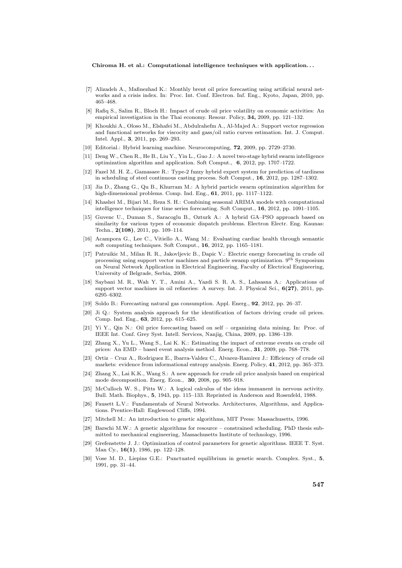- [7] Alizadeh A., Mafinezhad K.: Monthly brent oil price forecasting using artificial neural networks and a crisis index. In: Proc. Int. Conf. Electron. Inf. Eng., Kyoto, Japan, 2010, pp. 465–468.
- [8] Rafiq S., Salim R., Bloch H.: Impact of crude oil price volatility on economic activities: An empirical investigation in the Thai economy. Resour. Policy, **34,** 2009, pp. 121–132.
- [9] Khoukhi A., Oloso M., Elshafei M., Abdulrahefm A., Al-Majed A.: Support vector regression and functional networks for viscocity and gass/oil ratio curves estimation. Int. J. Comput. Intel. Appl., **3**, 2011, pp. 269–293.
- [10] Editorial.: Hybrid learning machine. Neurocomputing, **72**, 2009, pp. 2729–2730.
- [11] Deng W., Chen R., He B., Liu Y., Yin L., Guo J.: A novel two-stage hybrid swarm intelligence optimization algorithm and application. Soft Comput., **6**, 2012, pp. 1707–1722.
- [12] Fazel M. H. Z., Gamasaee R.: Type-2 fuzzy hybrid expert system for prediction of tardiness in scheduling of steel continuous casting process. Soft Comput., **16**, 2012, pp. 1287–1302.
- [13] Jia D., Zhang G., Qu B., Khurram M.: A hybrid particle swarm optimization algorithm for high-dimensional problems. Comp. Ind. Eng., **61**, 2011, pp. 1117–1122.
- [14] Khashei M., Bijari M., Reza S. H.: Combining seasonal ARIMA models with computational intelligence techniques for time series forecasting. Soft Comput., **16**, 2012, pp. 1091–1105.
- [15] Guvenc U., Duman S., Saracoglu B., Ozturk A.: A hybrid GA–PSO approach based on similarity for various types of economic dispatch problems. Electron Electr. Eng. Kaunas: Techn., **2(108)**, 2011, pp. 109–114.
- [16] Acampora G., Lee C., Vitiello A., Wang M.: Evaluating cardiac health through semantic soft computing techniques. Soft Comput., **16**, 2012, pp. 1165–1181.
- [17] Patruikic M., Milan R. R., Jakovljevic B., Dapic V.: Electric energy forecasting in crude oil processing using support vector machines and particle swamp optimization. 9th Symposium on Neural Network Application in Electrical Engineering, Faculty of Electrical Engineering, University of Belgrade, Serbia, 2008.
- [18] Saybani M. R., Wah Y. T., Amini A., Yazdi S. R. A. S., Lahsasna A.: Applications of support vector machines in oil refineries: A survey. Int. J. Physical Sci., **6(27)**, 2011, pp. 6295–6302.
- [19] Soldo B.: Forecasting natural gas consumption. Appl. Energ., **92**, 2012, pp. 26–37.
- [20] Ji Q.: System analysis approach for the identification of factors driving crude oil prices. Comp. Ind. Eng., **63**, 2012, pp. 615–625.
- [21] Yi Y., Qin N.: Oil price forecasting based on self organizing data mining. In: Proc. of IEEE Int. Conf. Grey Syst. Intell. Services, Nanjig, China, 2009, pp. 1386–139.
- [22] Zhang X., Yu L., Wang S., Lai K. K.: Estimating the impact of extreme events on crude oil prices: An EMD – based event analysis method. Energ. Econ., **31**, 2009, pp. 768–778.
- [23] Ortiz Cruz A., Rodriguez E., Ibarra-Valdez C., Alvarez-Ramirez J.: Efficiency of crude oil markets: evidence from informational entropy analysis. Energ. Policy, **41**, 2012, pp. 365–373.
- [24] Zhang X., Lai K.K., Wang S.: A new approach for crude oil price analysis based on empirical mode decomposition. Energ. Econ., **30**, 2008, pp. 905–918.
- [25] McCulloch W. S., Pitts W.: A logical calculus of the ideas immanent in nervous activity. Bull. Math. Biophys., **5**, 1943, pp. 115–133. Reprinted in Anderson and Rosenfeld, 1988.
- [26] Fausett L.V.: Fundamentals of Neural Networks. Architectures, Algorithms, and Applications. Prentice-Hall: Englewood Cliffs, 1994.
- [27] Mitchell M.: An introduction to genetic algorithms, MIT Press: Massachusetts, 1996.
- [28] Barschi M.W.: A genetic algorithms for resource constrained scheduling. PhD thesis submitted to mechanical engineering, Massachusetts Institute of technology, 1996.
- [29] Grefenstette J. J.: Optimization of control parameters for genetic algorithms. IEEE T. Syst. Man Cy., **16(1)**, 1986, pp. 122–128.
- [30] Vose M. D., Liepins G.E.: Punctuated equilibrium in genetic search. Complex. Syst., **5**, 1991, pp. 31–44.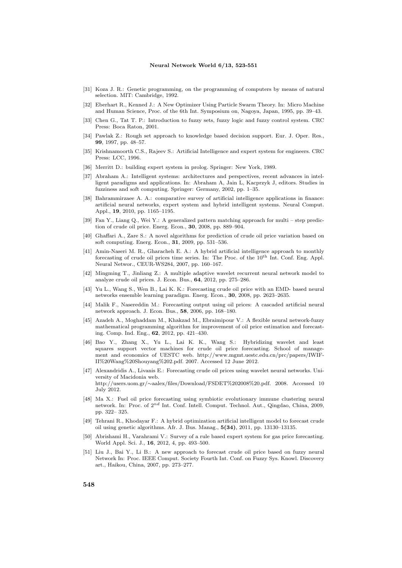#### **Neural Network World 6/13, 523-551**

- [31] Koza J. R.: Genetic programming, on the programming of computers by means of natural selection. MIT: Cambridge, 1992.
- [32] Eberhart R., Kenned J.: A New Optimizer Using Particle Swarm Theory. In: Micro Machine and Human Science, Proc. of the 6th Int. Symposium on, Nagoya, Japan, 1995, pp. 39–43.
- [33] Chen G., Tat T. P.: Introduction to fuzzy sets, fuzzy logic and fuzzy control system. CRC Press: Boca Raton, 2001.
- [34] Pawlak Z.: Rough set approach to knowledge based decision support. Eur. J. Oper. Res., **99**, 1997, pp. 48–57.
- [35] Krishnamoorth C.S., Rajeev S.: Artificial Intelligence and expert system for engineers. CRC Press: LCC, 1996.
- [36] Merritt D.: building expert system in prolog. Springer: New York, 1989.
- [37] Abraham A.: Intelligent systems: architectures and perspectives, recent advances in intelligent paradigms and applications. In: Abraham A, Jain L, Kacprzyk J, editors. Studies in fuzziness and soft computing. Springer: Germany, 2002, pp. 1–35.
- [38] Bahrammirzaee A. A.: comparative survey of artificial intelligence applications in finance: artificial neural networks, expert system and hybrid intelligent systems. Neural Comput. Appl., **19**, 2010, pp. 1165–1195.
- [39] Fan Y., Liang Q., Wei Y.: A generalized pattern matching approach for multi step prediction of crude oil price. Energ. Econ., **30**, 2008, pp. 889–904.
- [40] Ghaffari A., Zare S.: A novel algorithms for prediction of crude oil price variation based on soft computing. Energ. Econ., **31**, 2009, pp. 531–536.
- [41] Amin-Naseri M. R., Gharacheh E. A.: A hybrid artificial intelligence approach to monthly forecasting of crude oil prices time series. In: The Proc. of the  $10<sup>th</sup>$  Int. Conf. Eng. Appl. Neural Networ., CEUR-WS284, 2007, pp. 160–167.
- [42] Mingming T., Jinliang Z.: A multiple adaptive wavelet recurrent neural network model to analyze crude oil prices. J. Econ. Bus., **64**, 2012, pp. 275–286.
- [43] Yu L., Wang S., Wen B., Lai K. K.: Forecasting crude oil price with an EMD- based neural networks ensemble learning paradigm. Energ. Econ., **30**, 2008, pp. 2623–2635.
- [44] Malik F., Nasereddin M.: Forecasting output using oil prices: A cascaded artificial neural network approach. J. Econ. Bus., **58**, 2006, pp. 168–180.
- [45] Azadeh A., Moghaddam M., Khakzad M., Ebraimipour V.: A flexible neural network-fuzzy mathematical programming algorithm for improvement of oil price estimation and forecasting. Comp. Ind. Eng., **62**, 2012, pp. 421–430.
- [46] Bao Y., Zhang X., Yu L., Lai K. K., Wang S.: Hybridizing wavelet and least squares support vector machines for crude oil price forecasting. School of management and economics of UESTC web. http://www.mgmt.uestc.edu.cn/prc/papers/IWIF-II%20Wang%20Shouyang%202.pdf. 2007. Accessed 12 June 2012.
- [47] Alexandridis A., Livanis E.: Forecasting crude oil prices using wavelet neural networks. University of Macidonia web. http://users.uom.gr/*∼*aalex/files/Download/FSDET%202008%20.pdf. 2008. Accessed 10 July 2012.
- [48] Ma X.: Fuel oil price forecasting using symbiotic evolutionary immune clustering neural network. In: Proc. of 2*nd* Int. Conf. Intell. Comput. Technol. Aut., Qingdao, China, 2009, pp. 322– 325.
- [49] Tehrani R., Khodayar F.: A hybrid optimization artificial intelligent model to forecast crude oil using genetic algorithms. Afr. J. Bus. Manag., **5(34)**, 2011, pp. 13130–13135.
- [50] Abrishami H., Varahrami V.: Survey of a rule based expert system for gas price forecasting. World Appl. Sci. J., **16**, 2012, 4, pp. 493–500.
- [51] Liu J., Bai Y., Li B.: A new approach to forecast crude oil price based on fuzzy neural Network In: Proc. IEEE Comput. Society Fourth Int. Conf. on Fuzzy Sys. Knowl. Discovery art., Haikou, China, 2007, pp. 273–277.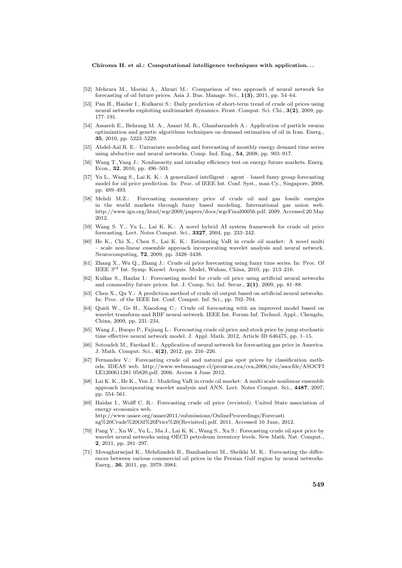- [52] Mehrara M., Moeini A., Ahrari M.: Comparison of two approach of neural network for forecasting of oil future prices. Asia J. Bus. Manage. Sci., **1(3)**, 2011, pp. 54–64.
- [53] Pan H., Haidar I., Kulkarni S.: Daily prediction of short-term trend of crude oil prices using neural networks exploiting multimarket dynamics. Front. Comput. Sci. Chi., **3(2)**, 2009, pp. 177–191.
- [54] Assareh E., Behrang M. A., Assari M. R., Ghanbarzadeh A.: Application of particle swarm optimization and genetic algorithms techniques on demand estimation of oil in Iran. Energ., **35**, 2010, pp. 5223–5229.
- [55] Abdel-Aal R. E.: Univariate modeling and forecasting of monthly energy demand time series using abductive and neural networks. Comp. Ind. Eng., **54**, 2008, pp. 903–917.
- [56] Wang T.,Yang J.: Nonlinearity and intraday efficiency test on energy future markets. Energ. Econ., **32**, 2010, pp. 496–503.
- [57] Yu L., Wang S., Lai K. K.: A generalized intelligent agent based fuzzy group forecasting model for oil price prediction. In: Proc. of IEEE Int. Conf. Syst., man Cy., Singapore, 2008, pp. 489–493.
- [58] Mehdi M.Z.: Forecasting momentary price of crude oil and gas fossile energies in the world markets through fuzzy based modeling. International gas union web. http://www.igu.org/html/wgc2009/papers/docs/wgcFinal00056.pdf. 2009. Accessed 20 May 2012.
- [59] Wang S. Y., Yu L., Lai K. K.: A novel hybrid AI system framework for crude oil price forecasting. Lect. Notes Comput. Sci., **3327**, 2004, pp. 233–242.
- [60] He K., Chi X., Chen S., Lai K. K.: Estimating VaR in crude oil market: A novel multi – scale non-linear ensemble approach incorporating wavelet analysis and neural network. Neurocomputing, **72**, 2009, pp. 3428–3438.
- [61] Zhang X., Wu Q., Zhang J.: Crude oil price forecasting using fuzzy time series. In: Proc. Of IEEE 3rd Int. Symp. Knowl. Acquis. Model, Wuhan, China, 2010, pp. 213–216.
- [62] Kulkar S., Haidar I.: Forecasting model for crude oil price using artificial neural networks and commodity future prices. Int. J. Comp. Sci. Inf. Secur., **2(1)**, 2009, pp. 81–88.
- [63] Chen X., Qu Y.: A prediction method of crude oil output based on artificial neural networks. In: Proc. of the IEEE Int. Conf. Comput. Inf. Sci., pp. 702–704.
- [64] Qunli W., Ge H., Xiaodong C.: Crude oil forecasting with an improved model based on wavelet transform and RBF neural network. IEEE Int. Forum Inf. Technol. Appl., Chengdu, China, 2009, pp. 231–234.
- [65] Wang J., Huopo P., Fajiang L.: Forecasting crude oil price and stock price by jump stochastic time effective neural network model. J. Appl. Math. 2012, Article ID 646475, pp. 1–15.
- [66] Sotoudeh M., Farshad E.: Application of neural network for forecasting gas price in America. J. Math. Comput. Sci., **4(2)**, 2012, pp. 216–226.
- [67] Fernandez V.: Forecasting crude oil and natural gas spot prices by classification methods. IDEAS web. http://www.webmanager.cl/prontus cea/cea 2006/site/asocfile/ASOCFI LE1200611281 05820.pdf. 2006. Access 4 June 2012.
- [68] Lai K. K., He K., Yen J.: Modeling VaR in crude oil market: A multi scale nonlinear ensemble approach incorporating wavelet analysis and ANN. Lect. Notes Comput. Sci., **4487**, 2007, pp. 554–561.
- [69] Haidar I., Wolff C. R.: Forecasting crude oil price (revisted). United State association of energy economics web. http://www.usaee.org/usaee2011/submissions/OnlineProceedings/Forecasti ng%20Crude%20Oil%20Price%20(Revisited).pdf. 2011. Accessed 10 June, 2012.
- [70] Pang Y., Xu W., Yu L., Ma J., Lai K. K., Wang S., Xu S.: Forecasting crude oil spot price by wavelet neural networks using OECD petroleum inventory levels. New Math. Nat. Comput., **2**, 2011, pp. 281–297.
- [71] Movagharnejad K., Mehdizadeh B., Banihashemi M., Sheikhi M. K.: Forecasting the differences between various commercial oil prices in the Persian Gulf region by neural networks. Energ., **36**, 2011, pp. 3979–3984.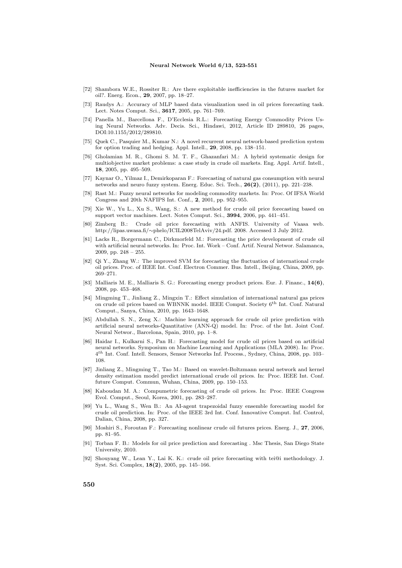#### **Neural Network World 6/13, 523-551**

- [72] Shambora W.E., Rossiter R.: Are there exploitable inefficiencies in the futures market for oil?. Energ. Econ., **29**, 2007, pp. 18–27.
- [73] Raudys A.: Accuracy of MLP based data visualization used in oil prices forecasting task. Lect. Notes Comput. Sci., **3617**, 2005, pp. 761–769.
- [74] Panella M., Barcellona F., D'Ecclesia R.L.: Forecasting Energy Commodity Prices Using Neural Networks. Adv. Decis. Sci., Hindawi, 2012, Article ID 289810, 26 pages, DOI:10.1155/2012/289810.
- [75] Quek C., Pasquier M., Kumar N.: A novel recurrent neural network-based prediction system for option trading and hedging. Appl. Intell., **29**, 2008, pp. 138–151.
- [76] Gholamian M. R., Ghomi S. M. T. F., Ghazanfari M.: A hybrid systematic design for multiobjective market problems: a case study in crude oil markets. Eng. Appl. Artif. Intell., **18**, 2005, pp. 495–509.
- [77] Kaynar O., Yilmaz I., Demirkoparan F.: Forecasting of natural gas consumption with neural networks and neuro fuzzy system. Energ. Educ. Sci. Tech., **26(2)**, (2011), pp. 221–238.
- [78] Rast M.: Fuzzy neural networks for modeling commodity markets. In: Proc. Of IFSA World Congress and 20th NAFIPS Int. Conf., **2**, 2001, pp. 952–955.
- [79] Xie W., Yu L., Xu S., Wang, S.: A new method for crude oil price forecasting based on support vector machines. Lect. Notes Comput. Sci., **3994**, 2006, pp. 441–451.
- [80] Zimberg B.: Crude oil price forecasting with ANFIS. University of Vaasa web. http://lipas.uwasa.fi/*∼*phelo/ICIL2008TelAviv/24.pdf. 2008. Accessed 3 July 2012.
- [81] Lacks R., Borgermann C., Dirkmorfeld M.: Forecasting the price development of crude oil with artificial neural networks. In: Proc. Int. Work – Conf. Artif. Neural Networ. Salamanca, 2009, pp. 248 – 255.
- [82] Qi Y., Zhang W.: The improved SVM for forecasting the fluctuation of international crude oil prices. Proc. of IEEE Int. Conf. Electron Commer. Bus. Intell., Beijing, China, 2009, pp. 269–271.
- [83] Malliaris M. E., Malliaris S. G.: Forecasting energy product prices. Eur. J. Financ., **14(6)**, 2008, pp. 453–468.
- [84] Mingming T., Jinliang Z., Mingxin T.: Effect simulation of international natural gas prices on crude oil prices based on WBNNK model. IEEE Comput. Society 6th Int. Conf. Natural Comput., Sanya, China, 2010, pp. 1643–1648.
- [85] Abdullah S. N., Zeng X.: Machine learning approach for crude oil price prediction with artificial neural networks-Quantitative (ANN-Q) model. In: Proc. of the Int. Joint Conf. Neural Networ., Barcelona, Spain, 2010, pp. 1–8.
- [86] Haidar I., Kulkarni S., Pan H.: Forecasting model for crude oil prices based on artificial neural networks. Symposium on Machine Learning and Applications (MLA 2008). In: Proc. 4 *th* Int. Conf. Intell. Sensors, Sensor Networks Inf. Process., Sydney, China, 2008, pp. 103– 108.
- [87] Jinliang Z., Mingming T., Tao M.: Based on wavelet-Boltzmann neural network and kernel density estimation model predict international crude oil prices. In: Proc. IEEE Int. Conf. future Comput. Commun, Wuhan, China, 2009, pp. 150–153.
- [88] Kaboudan M. A.: Compumetric forecasting of crude oil prices. In: Proc. IEEE Congress Evol. Comput., Seoul, Korea, 2001, pp. 283–287.
- [89] Yu L., Wang S., Wen B.: An AI-agent trapezoidal fuzzy ensemble forecasting model for crude oil prediction. In: Proc. of the IEEE 3rd Int. Conf. Innovative Comput. Inf. Control, Dalian, China, 2008, pp. 327.
- [90] Moshiri S., Foroutan F.: Forecasting nonlinear crude oil futures prices. Energ. J., **27**, 2006, pp. 81–95.
- [91] Torban F. B.: Models for oil price prediction and forecasting . Msc Thesis, San Diego State University, 2010.
- [92] Shouyang W., Lean Y., Lai K. K.: crude oil price forecasting with tei@i methodology. J. Syst. Sci. Complex, **18(2)**, 2005, pp. 145–166.